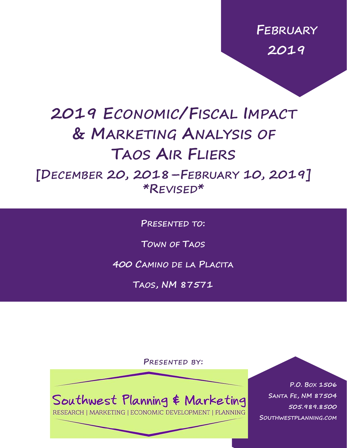**FEBRUARY 2019**

# **2019 ECONOMIC/FISCAL IMPACT & MARKETING ANALYSIS OF TAOS AIR FLIERS**

**[DECEMBER 20, 2018–FEBRUARY 10, 2019] \*REVISED\***

**PRESENTED TO:**

**TOWN OF TAOS**

**400 CAMINO DE LA PLACITA**

**TAOS, NM 87571**

**PRESENTED BY:**

Southwest Planning & Marketing

RESEARCH | MARKETING | ECONOMIC DEVELOPMENT | PLANNING

**P.O. BOX 1506 SANTA FE, NM 87504 505.989.8500 SOUTHWESTPLANNING.COM**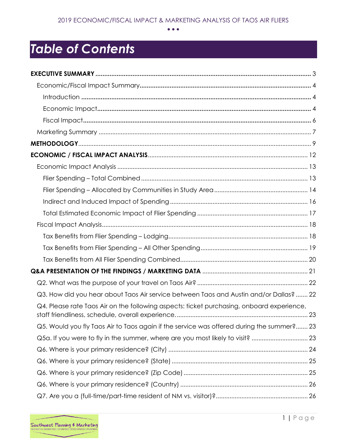# *Table of Contents*

| Q3. How did you hear about Taos Air service between Taos and Austin and/or Dallas?  22    |  |
|-------------------------------------------------------------------------------------------|--|
| Q4. Please rate Taos Air on the following aspects: ticket purchasing, onboard experience, |  |
| Q5. Would you fly Taos Air to Taos again if the service was offered during the summer? 23 |  |
| Q5a. If you were to fly in the summer, where are you most likely to visit?  23            |  |
|                                                                                           |  |
|                                                                                           |  |
|                                                                                           |  |
|                                                                                           |  |
|                                                                                           |  |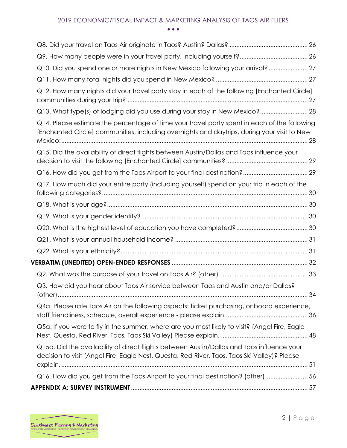| Q10. Did you spend one or more nights in New Mexico following your arrival? 27                                                                                                              |  |
|---------------------------------------------------------------------------------------------------------------------------------------------------------------------------------------------|--|
|                                                                                                                                                                                             |  |
| Q12. How many nights did your travel party stay in each of the following [Enchanted Circle]                                                                                                 |  |
| Q13. What type(s) of lodging did you use during your stay in New Mexico? 28                                                                                                                 |  |
| Q14. Please estimate the percentage of time your travel party spent in each of the following<br>[Enchanted Circle] communities, including overnights and daytrips, during your visit to New |  |
| Q15. Did the availability of direct flights between Austin/Dallas and Taos influence your                                                                                                   |  |
|                                                                                                                                                                                             |  |
| Q17. How much did your entire party (including yourself) spend on your trip in each of the                                                                                                  |  |
|                                                                                                                                                                                             |  |
|                                                                                                                                                                                             |  |
|                                                                                                                                                                                             |  |
|                                                                                                                                                                                             |  |
|                                                                                                                                                                                             |  |
|                                                                                                                                                                                             |  |
|                                                                                                                                                                                             |  |
| Q3. How did you hear about Taos Air service between Taos and Austin and/or Dallas?                                                                                                          |  |
| Q4a. Please rate Taos Air on the following aspects: ticket purchasing, onboard experience,                                                                                                  |  |
| Q5a. If you were to fly in the summer, where are you most likely to visit? (Angel Fire, Eagle                                                                                               |  |
| Q15a. Did the availability of direct flights between Austin/Dallas and Taos influence your<br>decision to visit (Angel Fire, Eagle Nest, Questa, Red River, Taos, Taos Ski Valley)? Please  |  |
| Q16. How did you get from the Taos Airport to your final destination? (other) 56                                                                                                            |  |
|                                                                                                                                                                                             |  |

 $\overline{\phantom{0}}$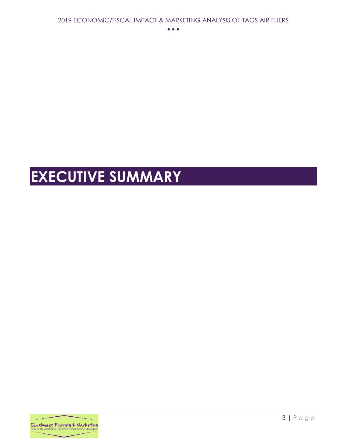# <span id="page-3-0"></span>**EXECUTIVE SUMMARY**

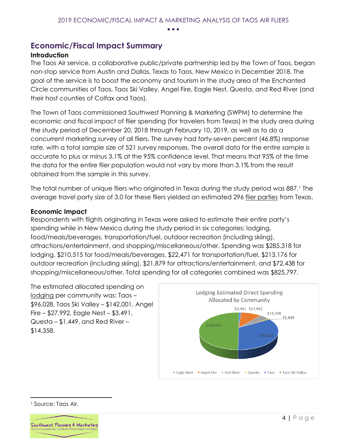### <span id="page-4-0"></span>**Economic/Fiscal Impact Summary**

#### <span id="page-4-1"></span>**Introduction**

The Taos Air service, a collaborative public/private partnership led by the Town of Taos, began non-stop service from Austin and Dallas, Texas to Taos, New Mexico in December 2018. The goal of the service is to boost the economy and tourism in the study area of the Enchanted Circle communities of Taos, Taos Ski Valley, Angel Fire, Eagle Nest, Questa, and Red River (and their host counties of Colfax and Taos).

The Town of Taos commissioned Southwest Planning & Marketing (SWPM) to determine the economic and fiscal impact of flier spending (for travelers from Texas) in the study area during the study period of December 20, 2018 through February 10, 2019, as well as to do a concurrent marketing survey of all fliers. The survey had forty-seven percent (46.8%) response rate, with a total sample size of 521 survey responses. The overall data for the entire sample is accurate to plus or minus 3.1% at the 95% confidence level. That means that 95% of the time the data for the entire flier population would not vary by more than 3.1% from the result obtained from the sample in this survey.

The total number of unique fliers who originated in Texas during the study period was 887.<sup>1</sup> The average travel party size of 3.0 for these fliers yielded an estimated 296 flier parties from Texas.

#### <span id="page-4-2"></span>**Economic Impact**

Respondents with flights originating in Texas were asked to estimate their entire party's spending while in New Mexico during the study period in six categories: lodging, food/meals/beverages, transportation/fuel, outdoor recreation (including skiing), attractions/entertainment, and shopping/miscellaneous/other. Spending was \$285,318 for lodging, \$210,515 for food/meals/beverages, \$22,471 for transportation/fuel, \$213,176 for outdoor recreation (including skiing), \$21,879 for attractions/entertainment, and \$72,438 for shopping/miscellaneous/other. Total spending for all categories combined was \$825,797.

The estimated allocated spending on lodging per community was: Taos – \$96,028, Taos Ski Valley – \$142,001, Angel Fire – \$27,992, Eagle Nest – \$3,491, Questa – \$1,449, and Red River – \$14,358.



<sup>1</sup> Source: Taos Air.

 $\overline{a}$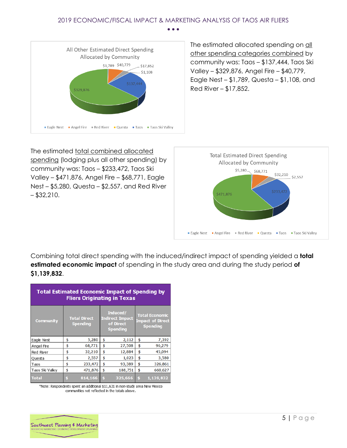

The estimated allocated spending on all other spending categories combined by community was: Taos – \$137,444, Taos Ski Valley – \$329,876, Angel Fire – \$40,779, Eagle Nest – \$1,789, Questa – \$1,108, and Red River – \$17,852.

The estimated total combined allocated spending (lodging plus all other spending) by community was: Taos – \$233,472, Taos Ski Valley – \$471,876, Angel Fire – \$68,771, Eagle Nest – \$5,280, Questa – \$2,557, and Red River  $-$  \$32,210.



Combining total direct spending with the induced/indirect impact of spending yielded a **total estimated economic impact** of spending in the study area and during the study period **of \$1,139,832**.

| <b>Total Estimated Economic Impact of Spending by</b><br><b>Fliers Originating in Texas</b> |    |                                        |    |                                                                    |                                                                     |           |  |  |  |  |  |
|---------------------------------------------------------------------------------------------|----|----------------------------------------|----|--------------------------------------------------------------------|---------------------------------------------------------------------|-----------|--|--|--|--|--|
| <b>Community</b>                                                                            |    | <b>Total Direct</b><br><b>Spending</b> |    | Induced/<br><b>Indirect Impact</b><br>of Direct<br><b>Spending</b> | <b>Total Economic</b><br><b>Impact of Direct</b><br><b>Spending</b> |           |  |  |  |  |  |
| Eagle Nest                                                                                  | \$ | 5,280                                  | \$ | 2,112                                                              | \$                                                                  | 7,392     |  |  |  |  |  |
| Angel Fire                                                                                  | \$ | 68,771                                 | \$ | 27,508                                                             | \$                                                                  | 96,279    |  |  |  |  |  |
| Red River                                                                                   | \$ | 32,210                                 | \$ | 12,884                                                             | \$                                                                  | 45,094    |  |  |  |  |  |
| Questa                                                                                      | \$ | 2,557                                  | \$ | 1,023                                                              | \$                                                                  | 3,580     |  |  |  |  |  |
| Taos                                                                                        | \$ | 233,472                                | \$ | 93,389                                                             | \$                                                                  | 326,861   |  |  |  |  |  |
| Taos Ski Valley                                                                             | \$ | 471,876                                | \$ | 188,751                                                            | \$                                                                  | 660,627   |  |  |  |  |  |
| <b>Total</b>                                                                                |    | 814,166                                | \$ | 325,666                                                            | Ś                                                                   | 1,139,832 |  |  |  |  |  |

\*Note: Respondents spent an additional \$11,631 in non-study area New Mexico communities not reflected in the totals above.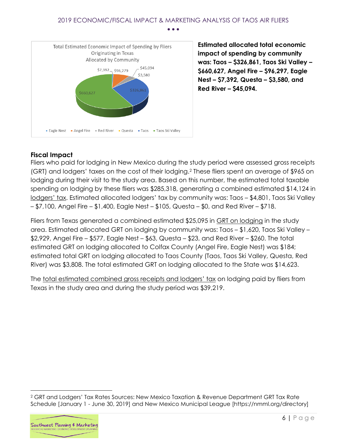

<span id="page-6-0"></span>**Estimated allocated total economic impact of spending by community was: Taos – \$326,861, Taos Ski Valley – \$660,627, Angel Fire – \$96,297, Eagle Nest – \$7,392, Questa – \$3,580, and Red River – \$45,094.**

#### **Fiscal Impact**

Fliers who paid for lodging in New Mexico during the study period were assessed gross receipts (GRT) and lodgers' taxes on the cost of their lodging.<sup>2</sup> These fliers spent an average of \$965 on lodging during their visit to the study area. Based on this number, the estimated total taxable spending on lodging by these fliers was \$285,318, generating a combined estimated \$14,124 in lodgers' tax. Estimated allocated lodgers' tax by community was: Taos – \$4,801, Taos Ski Valley – \$7,100, Angel Fire – \$1,400, Eagle Nest – \$105, Questa – \$0, and Red River – \$718.

Fliers from Texas generated a combined estimated \$25,095 in GRT on lodging in the study area. Estimated allocated GRT on lodging by community was: Taos – \$1,620, Taos Ski Valley – \$2,929, Angel Fire – \$577, Eagle Nest – \$63, Questa – \$23, and Red River – \$260. The total estimated GRT on lodging allocated to Colfax County (Angel Fire, Eagle Nest) was \$184; estimated total GRT on lodging allocated to Taos County (Taos, Taos Ski Valley, Questa, Red River) was \$3,808. The total estimated GRT on lodging allocated to the State was \$14,623.

The total estimated combined gross receipts and lodgers' tax on lodging paid by fliers from Texas in the study area and during the study period was \$39,219.

<sup>2</sup> GRT and Lodgers' Tax Rates Sources: New Mexico Taxation & Revenue Department GRT Tax Rate Schedule [January 1 - June 30, 2019] and New Mexico Municipal League [https://nmml.org/directory]



 $\overline{a}$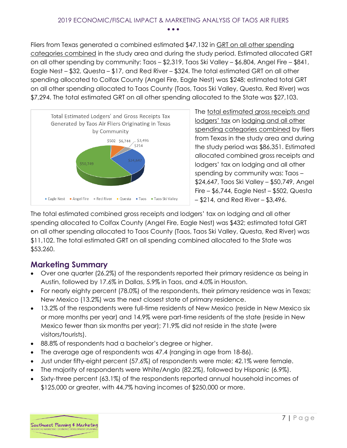Fliers from Texas generated a combined estimated \$47,132 in GRT on all other spending categories combined in the study area and during the study period. Estimated allocated GRT on all other spending by community: Taos – \$2,319, Taos Ski Valley – \$6,804, Angel Fire – \$841, Eagle Nest – \$32, Questa – \$17, and Red River – \$324. The total estimated GRT on all other spending allocated to Colfax County (Angel Fire, Eagle Nest) was \$248; estimated total GRT on all other spending allocated to Taos County (Taos, Taos Ski Valley, Questa, Red River) was \$7,294. The total estimated GRT on all other spending allocated to the State was \$27,103.



The total estimated gross receipts and lodgers' tax on lodging and all other spending categories combined by fliers from Texas in the study area and during the study period was \$86,351. Estimated allocated combined gross receipts and lodgers' tax on lodging and all other spending by community was: Taos – \$24,647, Taos Ski Valley – \$50,749, Angel Fire – \$6,744, Eagle Nest – \$502, Questa – \$214, and Red River – \$3,496.

The total estimated combined gross receipts and lodgers' tax on lodging and all other spending allocated to Colfax County (Angel Fire, Eagle Nest) was \$432; estimated total GRT on all other spending allocated to Taos County (Taos, Taos Ski Valley, Questa, Red River) was \$11,102. The total estimated GRT on all spending combined allocated to the State was \$53,260.

## <span id="page-7-0"></span>**Marketing Summary**

- Over one quarter (26.2%) of the respondents reported their primary residence as being in Austin, followed by 17.6% in Dallas, 5.9% in Taos, and 4.0% in Houston.
- For nearly eighty percent (78.0%) of the respondents, their primary residence was in Texas; New Mexico (13.2%) was the next closest state of primary residence.
- 13.2% of the respondents were full-time residents of New Mexico (reside in New Mexico six or more months per year) and 14.9% were part-time residents of the state (reside in New Mexico fewer than six months per year); 71.9% did not reside in the state (were visitors/tourists).
- 88.8% of respondents had a bachelor's degree or higher.
- The average age of respondents was 47.4 (ranging in age from 18-86).
- Just under fifty-eight percent (57.6%) of respondents were male; 42.1% were female.
- The majority of respondents were White/Anglo (82.2%), followed by Hispanic (6.9%).
- Sixty-three percent (63.1%) of the respondents reported annual household incomes of \$125,000 or greater, with 44.7% having incomes of \$250,000 or more.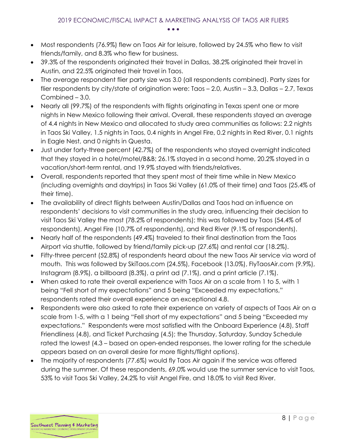- Most respondents (76.9%) flew on Taos Air for leisure, followed by 24.5% who flew to visit friends/family, and 8.3% who flew for business.
- 39.3% of the respondents originated their travel in Dallas, 38.2% originated their travel in Austin, and 22.5% originated their travel in Taos.
- The average respondent flier party size was 3.0 (all respondents combined). Party sizes for flier respondents by city/state of origination were: Taos – 2.0, Austin – 3.3, Dallas – 2.7, Texas Combined – 3.0.
- Nearly all (99.7%) of the respondents with flights originating in Texas spent one or more nights in New Mexico following their arrival. Overall, these respondents stayed an average of 4.4 nights in New Mexico and allocated to study area communities as follows: 2.2 nights in Taos Ski Valley, 1.5 nights in Taos, 0.4 nights in Angel Fire, 0.2 nights in Red River, 0.1 nights in Eagle Nest, and 0 nights in Questa.
- Just under forty-three percent (42.7%) of the respondents who stayed overnight indicated that they stayed in a hotel/motel/B&B; 26.1% stayed in a second home, 20.2% stayed in a vacation/short-term rental, and 19.9% stayed with friends/relatives.
- Overall, respondents reported that they spent most of their time while in New Mexico (including overnights and daytrips) in Taos Ski Valley (61.0% of their time) and Taos (25.4% of their time).
- The availability of direct flights between Austin/Dallas and Taos had an influence on respondents' decisions to visit communities in the study area, influencing their decision to visit Taos Ski Valley the most (78.2% of respondents); this was followed by Taos (54.4% of respondents), Angel Fire (10.7% of respondents), and Red River (9.1% of respondents).
- Nearly half of the respondents (49.4%) traveled to their final destination from the Taos Airport via shuttle, followed by friend/family pick-up (27.6%) and rental car (18.2%).
- Fifty-three percent (52.8%) of respondents heard about the new Taos Air service via word of mouth. This was followed by SkiTaos.com (24.5%), Facebook (13.0%), FlyTaosAir.com (9.9%), Instagram (8.9%), a billboard (8.3%), a print ad (7.1%), and a print article (7.1%).
- When asked to rate their overall experience with Taos Air on a scale from 1 to 5, with 1 being "Fell short of my expectations" and 5 being "Exceeded my expectations," respondents rated their overall experience an exceptional 4.8.
- Respondents were also asked to rate their experience on variety of aspects of Taos Air on a scale from 1-5, with a 1 being "Fell short of my expectations" and 5 being "Exceeded my expectations." Respondents were most satisfied with the Onboard Experience (4.8), Staff Friendliness (4.8), and Ticket Purchasing (4.5); the Thursday, Saturday, Sunday Schedule rated the lowest (4.3 – based on open-ended responses, the lower rating for the schedule appears based on an overall desire for more flights/flight options).
- The majority of respondents (77.6%) would fly Taos Air again if the service was offered during the summer. Of these respondents, 69.0% would use the summer service to visit Taos, 53% to visit Taos Ski Valley, 24.2% to visit Angel Fire, and 18.0% to visit Red River.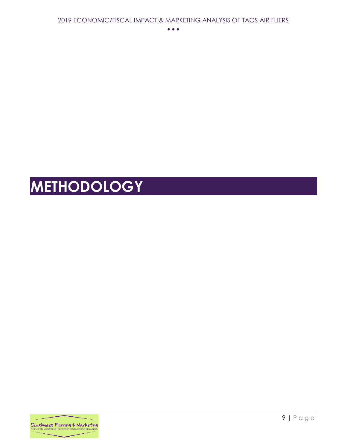# <span id="page-9-0"></span>**METHODOLOGY**

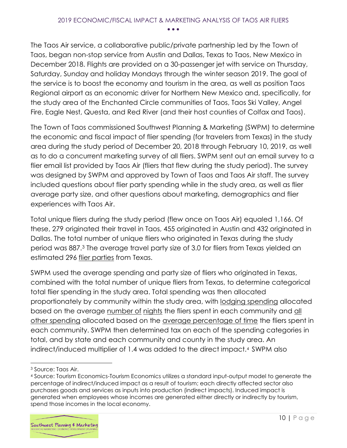The Taos Air service, a collaborative public/private partnership led by the Town of Taos, began non-stop service from Austin and Dallas, Texas to Taos, New Mexico in December 2018. Flights are provided on a 30-passenger jet with service on Thursday, Saturday, Sunday and holiday Mondays through the winter season 2019. The goal of the service is to boost the economy and tourism in the area, as well as position Taos Regional airport as an economic driver for Northern New Mexico and, specifically, for the study area of the Enchanted Circle communities of Taos, Taos Ski Valley, Angel Fire, Eagle Nest, Questa, and Red River (and their host counties of Colfax and Taos).

The Town of Taos commissioned Southwest Planning & Marketing (SWPM) to determine the economic and fiscal impact of flier spending (for travelers from Texas) in the study area during the study period of December 20, 2018 through February 10, 2019, as well as to do a concurrent marketing survey of all fliers. SWPM sent out an email survey to a flier email list provided by Taos Air (fliers that flew during the study period). The survey was designed by SWPM and approved by Town of Taos and Taos Air staff. The survey included questions about flier party spending while in the study area, as well as flier average party size, and other questions about marketing, demographics and flier experiences with Taos Air.

Total unique fliers during the study period (flew once on Taos Air) equaled 1,166. Of these, 279 originated their travel in Taos, 455 originated in Austin and 432 originated in Dallas. The total number of unique fliers who originated in Texas during the study period was 887.<sup>3</sup> The average travel party size of 3.0 for fliers from Texas yielded an estimated 296 flier parties from Texas.

SWPM used the average spending and party size of fliers who originated in Texas, combined with the total number of unique fliers from Texas, to determine categorical total flier spending in the study area. Total spending was then allocated proportionately by community within the study area, with lodging spending allocated based on the average number of nights the fliers spent in each community and all other spending allocated based on the average percentage of time the fliers spent in each community. SWPM then determined tax on each of the spending categories in total, and by state and each community and county in the study area. An indirect/induced multiplier of 1.4 was added to the direct impact.<sup>4</sup> SWPM also

<sup>3</sup> Source: Taos Air.

<sup>4</sup> Source: Tourism Economics-Tourism Economics utilizes a standard input-output model to generate the percentage of indirect/induced impact as a result of tourism; each directly affected sector also purchases goods and services as inputs into production (indirect impacts). Induced impact is generated when employees whose incomes are generated either directly or indirectly by tourism, spend those incomes in the local economy.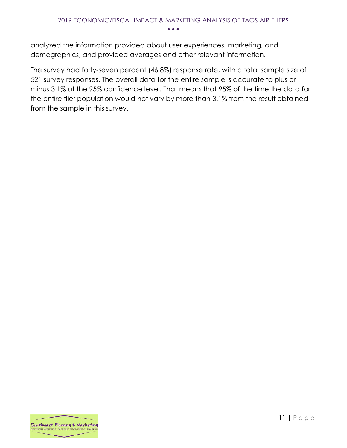analyzed the information provided about user experiences, marketing, and demographics, and provided averages and other relevant information.

The survey had forty-seven percent (46.8%) response rate, with a total sample size of 521 survey responses. The overall data for the entire sample is accurate to plus or minus 3.1% at the 95% confidence level. That means that 95% of the time the data for the entire flier population would not vary by more than 3.1% from the result obtained from the sample in this survey.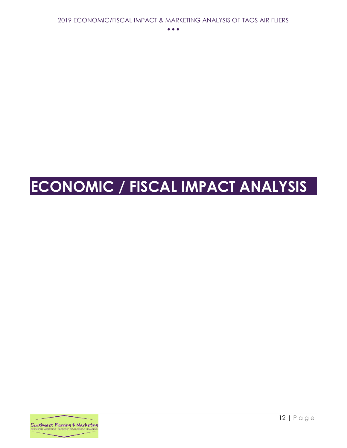# <span id="page-12-0"></span>**ECONOMIC / FISCAL IMPACT ANALYSIS**

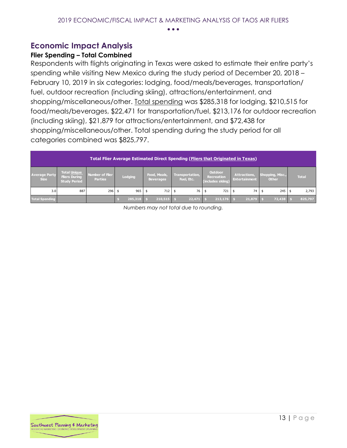## <span id="page-13-0"></span>**Economic Impact Analysis**

#### <span id="page-13-1"></span>**Flier Spending – Total Combined**

Respondents with flights originating in Texas were asked to estimate their entire party's spending while visiting New Mexico during the study period of December 20, 2018 – February 10, 2019 in six categories: lodging, food/meals/beverages, transportation/ fuel, outdoor recreation (including skiing), attractions/entertainment, and shopping/miscellaneous/other. Total spending was \$285,318 for lodging, \$210,515 for food/meals/beverages, \$22,471 for transportation/fuel, \$213,176 for outdoor recreation (including skiing), \$21,879 for attractions/entertainment, and \$72,438 for shopping/miscellaneous/other. Total spending during the study period for all categories combined was \$825,797.

|                                     | <b>Total Flier Average Estimated Direct Spending (Fliers that Originated in Texas)</b> |                                   |              |                            |                               |                                                          |                                             |                                  |              |  |  |  |
|-------------------------------------|----------------------------------------------------------------------------------------|-----------------------------------|--------------|----------------------------|-------------------------------|----------------------------------------------------------|---------------------------------------------|----------------------------------|--------------|--|--|--|
| <b>Average Party</b><br><b>Size</b> | Total Unique<br><b>Fliers During</b><br><b>Study Period</b>                            | Number of Flier<br><b>Parties</b> | Lodging      | Food, Meals,<br>Beverages, | Transportation,<br>Fuel, Etc. | <b>Outdoor</b><br><b>Recreation</b><br>(includes skiing) | <b>Attractions,</b><br><b>Entertainment</b> | Shopping, Misc.,<br><b>Other</b> | <b>Total</b> |  |  |  |
| 3.0                                 | 887                                                                                    | 296                               | 965          | 712                        | 76 \$                         | 721                                                      | 74                                          | $245 \pm 5$                      | 2,793        |  |  |  |
| <b>Total Spending</b>               |                                                                                        |                                   | $285,318$ \$ | 210,515                    | 22,471                        | $213.176$ \$                                             | 21,879                                      | 72,438                           | 825,797      |  |  |  |

*Numbers may not total due to rounding.* 

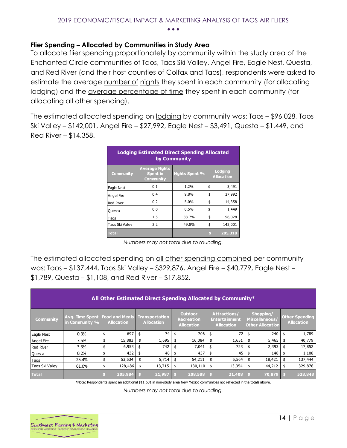#### <span id="page-14-0"></span>**Flier Spending – Allocated by Communities in Study Area**

To allocate flier spending proportionately by community within the study area of the Enchanted Circle communities of Taos, Taos Ski Valley, Angel Fire, Eagle Nest, Questa, and Red River (and their host counties of Colfax and Taos), respondents were asked to estimate the average number of nights they spent in each community (for allocating lodging) and the average percentage of time they spent in each community (for allocating all other spending).

The estimated allocated spending on lodging by community was: Taos – \$96,028, Taos Ski Valley – \$142,001, Angel Fire – \$27,992, Eagle Nest – \$3,491, Questa – \$1,449, and Red River – \$14,358.

| <b>Lodging Estimated Direct Spending Allocated</b><br>by Community |                                                       |                       |    |                                     |  |  |  |  |  |  |  |  |
|--------------------------------------------------------------------|-------------------------------------------------------|-----------------------|----|-------------------------------------|--|--|--|--|--|--|--|--|
| <b>Community</b>                                                   | <b>Average Nights</b><br><b>Spent</b> in<br>Community | <b>Nights Spent %</b> |    | <b>Lodging</b><br><b>Allocation</b> |  |  |  |  |  |  |  |  |
| Eagle Nest                                                         | 0.1                                                   | 1.2%                  | \$ | 3,491                               |  |  |  |  |  |  |  |  |
| <b>Angel Fire</b>                                                  | 0.4                                                   | 9.8%                  | \$ | 27,992                              |  |  |  |  |  |  |  |  |
| <b>Red River</b>                                                   | 0.2                                                   | 5.0%                  | \$ | 14,358                              |  |  |  |  |  |  |  |  |
| Questa                                                             | 0.0                                                   | 0.5%                  | \$ | 1,449                               |  |  |  |  |  |  |  |  |
| Taos                                                               | 1.5                                                   | 33.7%                 | \$ | 96,028                              |  |  |  |  |  |  |  |  |
| Taos Ski Valley                                                    | 2.2                                                   | 49.8%                 | \$ | 142,001                             |  |  |  |  |  |  |  |  |
| <b>Total</b>                                                       |                                                       |                       | S  | 285,318                             |  |  |  |  |  |  |  |  |

*Numbers may not total due to rounding.* 

The estimated allocated spending on all other spending combined per community was: Taos – \$137,444, Taos Ski Valley – \$329,876, Angel Fire – \$40,779, Eagle Nest – \$1,789, Questa – \$1,108, and Red River – \$17,852.

|                  | All Other Estimated Direct Spending Allocated by Community* |    |                   |    |                                     |                                                          |         |    |                                                                  |    |                                                        |    |                                            |
|------------------|-------------------------------------------------------------|----|-------------------|----|-------------------------------------|----------------------------------------------------------|---------|----|------------------------------------------------------------------|----|--------------------------------------------------------|----|--------------------------------------------|
| <b>Community</b> | <b>Avg. Time Spent   Food and Meals</b><br>in Community %   |    | <b>Allocation</b> |    | Transportation<br><b>Allocation</b> | <b>Outdoor</b><br><b>Recreation</b><br><b>Allocation</b> |         |    | <b>Attractions/</b><br><b>Entertainment</b><br><b>Allocation</b> |    | Shopping/<br>Miscellaneous/<br><b>Other Allocation</b> |    | <b>Other Spending</b><br><b>Allocation</b> |
| Eagle Nest       | 0.3%                                                        | S  | 697               | \$ | 74                                  | \$                                                       | 706     | \$ | 72                                                               | \$ | 240                                                    | \$ | 1,789                                      |
| Angel Fire       | 7.5%                                                        | \$ | 15,883            |    | 1,695                               | \$                                                       | 16,084  |    | 1,651                                                            |    | 5,465                                                  |    | 40,779                                     |
| <b>Red River</b> | 3.3%                                                        | \$ | 6,953             | \$ | 742                                 |                                                          | 7,041   |    | 723                                                              |    | 2,393                                                  |    | 17,852                                     |
| Questa           | 0.2%                                                        |    | 432               | \$ | 46                                  |                                                          | 437     |    | 45                                                               |    | 148                                                    | \$ | 1,108                                      |
| Taos             | 25.4%                                                       |    | 53,534            | \$ | 5,714                               | \$                                                       | 54,211  | \$ | 5,564                                                            |    | 18,421                                                 | \$ | 137,444                                    |
| Taos Ski Valley  | 61.0%                                                       |    | 128,486           | \$ | 13,715                              |                                                          | 130,110 | \$ | 13,354                                                           |    | 44,212                                                 | \$ | 329,876                                    |
| <b>Total</b>     |                                                             |    | 205,984           |    | 21,987                              |                                                          | 208,588 |    | 21,408                                                           |    | 70,879                                                 |    | 528,848                                    |

\*Note: Respondents spent an additional \$11,631 in non-study area New Mexico communities not reflected in the totals above.

*Numbers may not total due to rounding.*

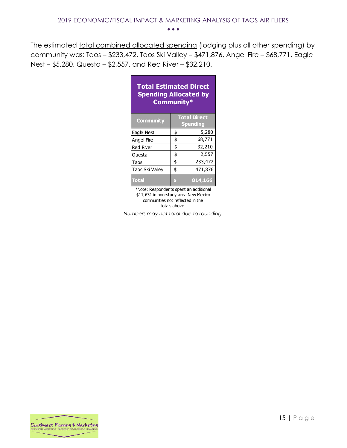The estimated total combined allocated spending (lodging plus all other spending) by community was: Taos – \$233,472, Taos Ski Valley – \$471,876, Angel Fire – \$68,771, Eagle Nest – \$5,280, Questa – \$2,557, and Red River – \$32,210.

| <b>Total Estimated Direct</b><br><b>Spending Allocated by</b><br>Community* |               |                                        |  |  |  |  |  |  |  |  |  |  |
|-----------------------------------------------------------------------------|---------------|----------------------------------------|--|--|--|--|--|--|--|--|--|--|
| <b>Community</b>                                                            |               | <b>Total Direct</b><br><b>Spending</b> |  |  |  |  |  |  |  |  |  |  |
| Eagle Nest                                                                  | \$            | 5,280                                  |  |  |  |  |  |  |  |  |  |  |
| Angel Fire                                                                  | \$            | 68,771                                 |  |  |  |  |  |  |  |  |  |  |
| <b>Red River</b>                                                            | \$            | 32,210                                 |  |  |  |  |  |  |  |  |  |  |
| <b>Questa</b>                                                               | \$            | 2,557                                  |  |  |  |  |  |  |  |  |  |  |
| Taos                                                                        | \$            | 233,472                                |  |  |  |  |  |  |  |  |  |  |
| Taos Ski Valley                                                             | 471,876<br>\$ |                                        |  |  |  |  |  |  |  |  |  |  |
| <b>Total</b>                                                                | \$            | 814,166<br>.                           |  |  |  |  |  |  |  |  |  |  |

\*Note: Respondents spent an additional \$11,631 in non-study area New Mexico communities not reflected in the totals above.

*Numbers may not total due to rounding.*

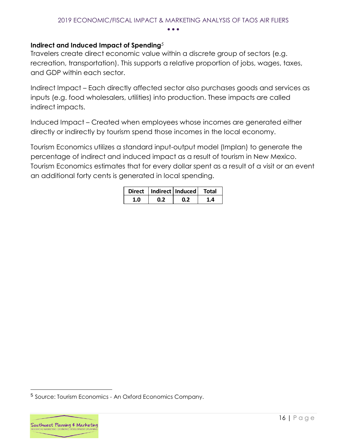#### <span id="page-16-0"></span>**Indirect and Induced Impact of Spending***<sup>5</sup>*

Travelers create direct economic value within a discrete group of sectors (e.g. recreation, transportation). This supports a relative proportion of jobs, wages, taxes, and GDP within each sector.

Indirect Impact – Each directly affected sector also purchases goods and services as inputs (e.g. food wholesalers, utilities) into production. These impacts are called indirect impacts.

Induced Impact – Created when employees whose incomes are generated either directly or indirectly by tourism spend those incomes in the local economy.

Tourism Economics utilizes a standard input-output model (Implan) to generate the percentage of indirect and induced impact as a result of tourism in New Mexico. Tourism Economics estimates that for every dollar spent as a result of a visit or an event an additional forty cents is generated in local spending.

|  | Direct   Indirect   Induced   Total |  |
|--|-------------------------------------|--|
|  |                                     |  |

<sup>&</sup>lt;sup>5</sup> Source: Tourism Economics - An Oxford Economics Company.



 $\overline{a}$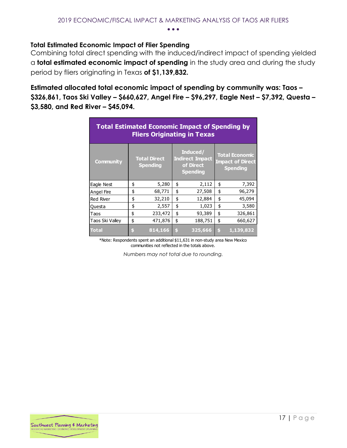#### <span id="page-17-0"></span>**Total Estimated Economic Impact of Flier Spending**

Combining total direct spending with the induced/indirect impact of spending yielded a **total estimated economic impact of spending** in the study area and during the study period by fliers originating in Texas **of \$1,139,832.** 

**Estimated allocated total economic impact of spending by community was: Taos – \$326,861, Taos Ski Valley – \$660,627, Angel Fire – \$96,297, Eagle Nest – \$7,392, Questa – \$3,580, and Red River – \$45,094.**

| <b>Total Estimated Economic Impact of Spending by</b><br><b>Fliers Originating in Texas</b> |    |                                        |    |                                                                    |    |                                                                     |  |  |  |  |  |
|---------------------------------------------------------------------------------------------|----|----------------------------------------|----|--------------------------------------------------------------------|----|---------------------------------------------------------------------|--|--|--|--|--|
| <b>Community</b>                                                                            |    | <b>Total Direct</b><br><b>Spending</b> |    | Induced/<br><b>Indirect Impact</b><br>of Direct<br><b>Spending</b> |    | <b>Total Economic</b><br><b>Impact of Direct</b><br><b>Spending</b> |  |  |  |  |  |
| Eagle Nest                                                                                  | \$ | 5,280                                  | \$ | 2,112                                                              | \$ | 7,392                                                               |  |  |  |  |  |
| Angel Fire                                                                                  | \$ | 68,771                                 | \$ | 27,508                                                             | \$ | 96,279                                                              |  |  |  |  |  |
| <b>Red River</b>                                                                            | \$ | 32,210                                 | \$ | 12,884                                                             | \$ | 45,094                                                              |  |  |  |  |  |
| Questa                                                                                      | \$ | 2,557                                  | \$ | 1,023                                                              | \$ | 3,580                                                               |  |  |  |  |  |
| Taos                                                                                        | \$ | 233,472                                | \$ | 93,389                                                             | \$ | 326,861                                                             |  |  |  |  |  |
| Taos Ski Valley                                                                             | \$ | 471,876                                | \$ | 188,751                                                            | \$ | 660,627                                                             |  |  |  |  |  |
| <b>Total</b>                                                                                | \$ | 814,166                                | \$ | 325,666                                                            | \$ | 1,139,832                                                           |  |  |  |  |  |

\*Note: Respondents spent an additional \$11,631 in non-study area New Mexico communities not reflected in the totals above.

*Numbers may not total due to rounding.*

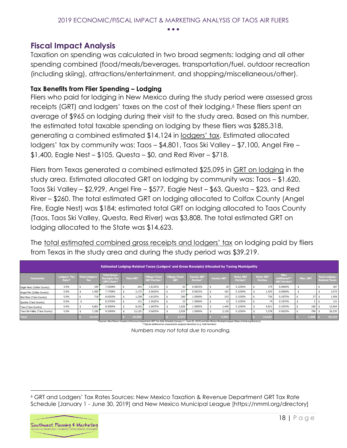#### <span id="page-18-0"></span>**Fiscal Impact Analysis**

Taxation on spending was calculated in two broad segments: lodging and all other spending combined (food/meals/beverages, transportation/fuel, outdoor recreation (including skiing), attractions/entertainment, and shopping/miscellaneous/other).

#### <span id="page-18-1"></span>**Tax Benefits from Flier Spending – Lodging**

Fliers who paid for lodging in New Mexico during the study period were assessed gross receipts (GRT) and lodgers' taxes on the cost of their lodging.<sup>6</sup> These fliers spent an average of \$965 on lodging during their visit to the study area. Based on this number, the estimated total taxable spending on lodging by these fliers was \$285,318, generating a combined estimated \$14,124 in lodgers' tax. Estimated allocated lodgers' tax by community was: Taos – \$4,801, Taos Ski Valley – \$7,100, Angel Fire – \$1,400, Eagle Nest – \$105, Questa – \$0, and Red River – \$718.

Fliers from Texas generated a combined estimated \$25,095 in GRT on lodging in the study area. Estimated allocated GRT on lodging by community was: Taos – \$1,620, Taos Ski Valley – \$2,929, Angel Fire – \$577, Eagle Nest – \$63, Questa – \$23, and Red River – \$260. The total estimated GRT on lodging allocated to Colfax County (Angel Fire, Eagle Nest) was \$184; estimated total GRT on lodging allocated to Taos County (Taos, Taos Ski Valley, Questa, Red River) was \$3,808. The total estimated GRT on lodging allocated to the State was \$14,623.

The total estimated combined gross receipts and lodgers' tax on lodging paid by fliers from Texas in the study area and during the study period was \$39,219.

| <b>Estimated Lodging-Related Taxes (Lodgers' and Gross Receipts) Allocated by Taxing Municipality</b> |                                          |  |                              |                                                          |  |                  |                                    |  |                            |                                       |  |                   |                                          |                                    |                                                    |           |                                               |
|-------------------------------------------------------------------------------------------------------|------------------------------------------|--|------------------------------|----------------------------------------------------------|--|------------------|------------------------------------|--|----------------------------|---------------------------------------|--|-------------------|------------------------------------------|------------------------------------|----------------------------------------------------|-----------|-----------------------------------------------|
| Community                                                                                             | <b>Lodgers' Tax</b><br>Rate <sup>*</sup> |  | Total Lodgers'<br><b>Tax</b> | <b>Total Gross</b><br><b>Receipts Tax</b><br>(GRT) Rate* |  | <b>Total GRT</b> | Village/Town<br><b>GRT Portion</b> |  | Village/Town<br><b>GRT</b> | <b>County GRT</b><br><b>Portion</b> * |  | <b>County GRT</b> | <b>State GRT</b><br>Portion <sup>®</sup> | <b>State GRT</b><br><b>Portion</b> | Misc.<br><b>Additional**</b><br><b>GRT Portion</b> | Misc. GRT | <b>Total Lodging-</b><br><b>Related Taxes</b> |
| Eagle Nest (Colfax County)                                                                            | 3.0%                                     |  | 105                          | 7.5208%                                                  |  | 263              | 1.8125%                            |  | 63                         | 0.5833%                               |  | 20                | 5.1250%                                  | 179                                | 0.0000%                                            |           | 367                                           |
| Angel Fire (Colfax County)                                                                            | 5.0%                                     |  | 1,400                        | 7.7708%                                                  |  | 2.175            | 2.0625%                            |  | 577                        | 0.5833%                               |  | 163               | 5.1250%                                  | 1,435                              | 0.0000%                                            |           | 3,575                                         |
| Red River (Taos County)                                                                               | 5.0%                                     |  | 718                          | 8.6250%                                                  |  | 1.238            | 1.8125%                            |  | 260                        | 1.5000%                               |  | 215               | 5.1250%                                  | 736                                | 0.1875%                                            | 27        | 1,956                                         |
| Questa (Taos County)                                                                                  | 0.0%                                     |  |                              | 8.3750%                                                  |  | 121              | 1.5625%                            |  | 23                         | 1.5000%                               |  | 22                | 5.1250%                                  | 74                                 | 0.1875%                                            |           | 121                                           |
| Taos (Taos County)                                                                                    | 5.0%                                     |  | 4,801                        | 8.5000%                                                  |  | 8.162            | 1.6875%                            |  | 1.620                      | 1.5000%                               |  | 1.440             | 5.1250%                                  | 4,921                              | 0.1875%                                            | 180       | 12,964                                        |
| Taos Ski Valley (Taos County)                                                                         | 5.0%                                     |  | 7,100                        | 9.2500%                                                  |  | 13,135           | 2.0625%                            |  | 2,929                      | 1.5000%                               |  | 2,130             | 5.1250%                                  | 7.278                              | 0.5625%                                            | 799       | 20,235                                        |
| <b>Total</b>                                                                                          |                                          |  | 14,124                       |                                                          |  | 25,095           |                                    |  | 5,473                      |                                       |  | 3,991             |                                          | 14,623                             |                                                    | 1,008     | 39,219                                        |

 %Sources: New Mexico Taxation & Revenue Department GRT Tax Rate Schedule [January 1 - June 30, 2019] and New Mexico Municipal League [https://nmml.org/directory]<br>\*\*Special additional tax assessments assigned elsewhere (e.g

 *Numbers may not total due to rounding.*

<sup>6</sup> GRT and Lodgers' Tax Rates Sources: New Mexico Taxation & Revenue Department GRT Tax Rate Schedule [January 1 - June 30, 2019] and New Mexico Municipal League [https://nmml.org/directory]



 $\overline{a}$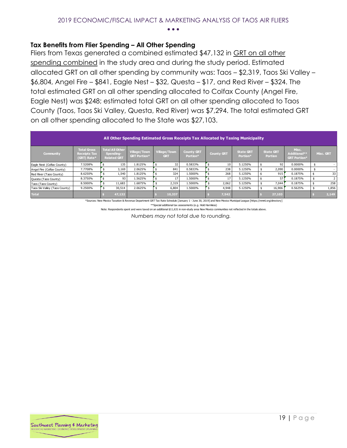#### <span id="page-19-0"></span>**Tax Benefits from Flier Spending – All Other Spending**

Fliers from Texas generated a combined estimated \$47,132 in GRT on all other spending combined in the study area and during the study period. Estimated allocated GRT on all other spending by community was: Taos – \$2,319, Taos Ski Valley – \$6,804, Angel Fire – \$841, Eagle Nest – \$32, Questa – \$17, and Red River – \$324. The total estimated GRT on all other spending allocated to Colfax County (Angel Fire, Eagle Nest) was \$248; estimated total GRT on all other spending allocated to Taos County (Taos, Taos Ski Valley, Questa, Red River) was \$7,294. The total estimated GRT on all other spending allocated to the State was \$27,103.

|                               | All Other Spending Estimated Gross Receipts Tax Allocated by Taxing Municipality |  |                                                           |                                     |  |                            |                               |  |                   |                                          |  |                                    |                                              |  |                          |
|-------------------------------|----------------------------------------------------------------------------------|--|-----------------------------------------------------------|-------------------------------------|--|----------------------------|-------------------------------|--|-------------------|------------------------------------------|--|------------------------------------|----------------------------------------------|--|--------------------------|
| Community                     | <b>Total Gross</b><br><b>Receipts Tax</b><br>(GRT) Rate*                         |  | <b>Total All Other</b><br>Spending-<br><b>Related GRT</b> | Village/Town<br><b>GRT Portion*</b> |  | Village/Town<br><b>GRT</b> | <b>County GRT</b><br>Portion* |  | <b>County GRT</b> | <b>State GRT</b><br>Portion <sup>*</sup> |  | <b>State GRT</b><br><b>Portion</b> | Misc.<br>Additional**<br><b>GRT Portion*</b> |  | Misc. GRT                |
| Eagle Nest (Colfax County)    | 7.5208%                                                                          |  | 135                                                       | 1.8125%                             |  | 32                         | 0.5833%                       |  | 10                | 5.1250%                                  |  | 92                                 | 0.0000%                                      |  | $\overline{\phantom{a}}$ |
| Angel Fire (Colfax County)    | 7.7708%                                                                          |  | 3,169                                                     | 2.0625%                             |  | 841                        | 0.5833%                       |  | 238               | 5.1250%                                  |  | 2,090                              | 0.0000%                                      |  | $\overline{\phantom{a}}$ |
| Red River (Taos County)       | 8.6250%                                                                          |  | 1,540                                                     | 1.8125%                             |  | 324                        | 1.5000%                       |  | 268               | 5.1250%                                  |  | 915                                | 0.1875%                                      |  | 33                       |
| Questa (Taos County)          | 8.3750%                                                                          |  | 93                                                        | 1.5625%                             |  | 17                         | 1.5000%                       |  | 17                | 5.1250%                                  |  | 57                                 | 0.1875%                                      |  |                          |
| Taos (Taos County)            | 8.5000%                                                                          |  | 11,683                                                    | 1.6875%                             |  | 2,319                      | 1.5000%                       |  | 2,062             | 5.1250%                                  |  | 7,044                              | 0.1875%                                      |  | 258                      |
| Taos Ski Valley (Taos County) | 9.2500%                                                                          |  | 30,514                                                    | 2.0625%                             |  | 6,804                      | 1.5000%                       |  | 4,948             | 5.1250%                                  |  | 16,906                             | 0.5625%                                      |  | 1,856                    |
| <b>Total</b>                  |                                                                                  |  | 47,132                                                    |                                     |  | 10,337                     |                               |  | 7,542             |                                          |  | 27,103                             |                                              |  | 2,149                    |

\*Sources: New Mexico Taxation & Revenue Department GRT Tax Rate Schedule [January 1 - June 30, 2019] and New Mexico Municipal League [https://nmml.org/directory]

\*\*Special additional tax assessments (e.g. Hold Harmless)

Note: Respondents spent and were taxed on an additional \$11,631 in non-study area New Mexico communities not reflected in the totals above.

 *Numbers may not total due to rounding.*

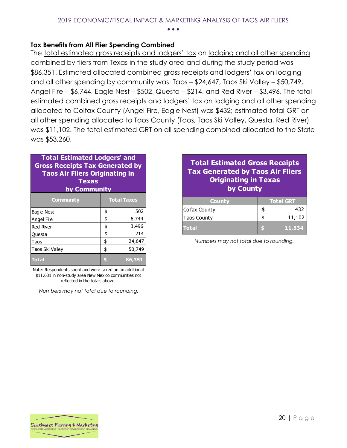#### <span id="page-20-0"></span>**Tax Benefits from All Flier Spending Combined**

The total estimated gross receipts and lodgers' tax on lodging and all other spending combined by fliers from Texas in the study area and during the study period was \$86,351. Estimated allocated combined gross receipts and lodgers' tax on lodging and all other spending by community was: Taos – \$24,647, Taos Ski Valley – \$50,749, Angel Fire – \$6,744, Eagle Nest – \$502, Questa – \$214, and Red River – \$3,496. The total estimated combined gross receipts and lodgers' tax on lodging and all other spending allocated to Colfax County (Angel Fire, Eagle Nest) was \$432; estimated total GRT on all other spending allocated to Taos County (Taos, Taos Ski Valley, Questa, Red River) was \$11,102. The total estimated GRT on all spending combined allocated to the State was \$53,260.

| <b>Total Estimated Lodgers' and</b><br><b>Gross Receipts Tax Generated by</b><br><b>Taos Air Fliers Originating in</b><br><b>Texas</b><br>by Community |    |                    |  |  |  |  |  |  |  |  |
|--------------------------------------------------------------------------------------------------------------------------------------------------------|----|--------------------|--|--|--|--|--|--|--|--|
| Community                                                                                                                                              |    | <b>Total Taxes</b> |  |  |  |  |  |  |  |  |
| Eagle Nest                                                                                                                                             | \$ | 502                |  |  |  |  |  |  |  |  |
| Angel Fire                                                                                                                                             | \$ | 6,744              |  |  |  |  |  |  |  |  |
| <b>Red River</b>                                                                                                                                       | \$ | 3,496              |  |  |  |  |  |  |  |  |
| Questa                                                                                                                                                 | \$ | 214                |  |  |  |  |  |  |  |  |
| Taos                                                                                                                                                   | \$ | 24,647             |  |  |  |  |  |  |  |  |
| Taos Ski Valley                                                                                                                                        | \$ | 50,749             |  |  |  |  |  |  |  |  |
| Total                                                                                                                                                  |    | 86,351             |  |  |  |  |  |  |  |  |

Note: Respondents spent and were taxed on an additional \$11,631 in non-study area New Mexico communities not reflected in the totals above.

 *Numbers may not total due to rounding.*

#### **Total Estimated Gross Receipts Tax Generated by Taos Air Fliers Originating in Texas by County**

| <b>County</b>      | <b>Total GRT</b> |
|--------------------|------------------|
| Colfax County      | 432              |
| <b>Taos County</b> | 11,102           |
| <b>Total</b>       | 11.534           |

 *Numbers may not total due to rounding.*

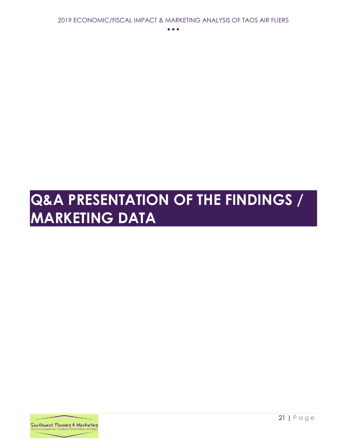# <span id="page-21-0"></span>**Q&A PRESENTATION OF THE FINDINGS / MARKETING DATA**

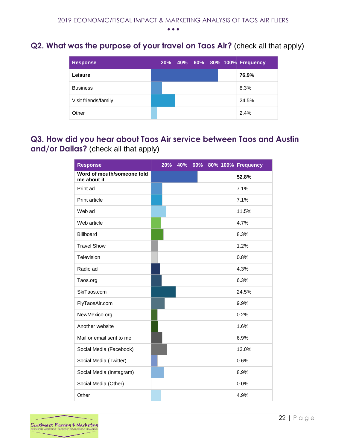## <span id="page-22-0"></span>**Q2. What was the purpose of your travel on Taos Air?** (check all that apply)

| <b>Response</b>      | 20% |  |  | 40% 60% 80% 100% Frequency |
|----------------------|-----|--|--|----------------------------|
| Leisure              |     |  |  | 76.9%                      |
| <b>Business</b>      |     |  |  | 8.3%                       |
| Visit friends/family |     |  |  | 24.5%                      |
| Other                |     |  |  | 2.4%                       |

## <span id="page-22-1"></span>**Q3. How did you hear about Taos Air service between Taos and Austin and/or Dallas?** (check all that apply)

| <b>Response</b>                           | 20% |  |  | 40% 60% 80% 100% Frequency |
|-------------------------------------------|-----|--|--|----------------------------|
| Word of mouth/someone told<br>me about it |     |  |  | 52.8%                      |
| Print ad                                  |     |  |  | 7.1%                       |
| Print article                             |     |  |  | 7.1%                       |
| Web ad                                    |     |  |  | 11.5%                      |
| Web article                               |     |  |  | 4.7%                       |
| Billboard                                 |     |  |  | 8.3%                       |
| <b>Travel Show</b>                        |     |  |  | 1.2%                       |
| Television                                |     |  |  | 0.8%                       |
| Radio ad                                  |     |  |  | 4.3%                       |
| Taos.org                                  |     |  |  | 6.3%                       |
| SkiTaos.com                               |     |  |  | 24.5%                      |
| FlyTaosAir.com                            |     |  |  | 9.9%                       |
| NewMexico.org                             |     |  |  | 0.2%                       |
| Another website                           |     |  |  | 1.6%                       |
| Mail or email sent to me                  |     |  |  | 6.9%                       |
| Social Media (Facebook)                   |     |  |  | 13.0%                      |
| Social Media (Twitter)                    |     |  |  | 0.6%                       |
| Social Media (Instagram)                  |     |  |  | 8.9%                       |
| Social Media (Other)                      |     |  |  | 0.0%                       |
| Other                                     |     |  |  | 4.9%                       |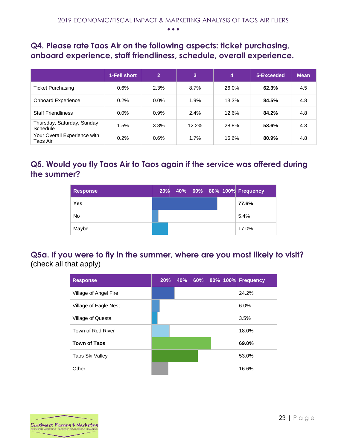## <span id="page-23-0"></span>**Q4. Please rate Taos Air on the following aspects: ticket purchasing, onboard experience, staff friendliness, schedule, overall experience.**

|                                          | 1-Fell short | $\overline{2}$ | 3     | 4     | 5-Exceeded | <b>Mean</b> |
|------------------------------------------|--------------|----------------|-------|-------|------------|-------------|
| <b>Ticket Purchasing</b>                 | $0.6\%$      | 2.3%           | 8.7%  | 26.0% | 62.3%      | 4.5         |
| <b>Onboard Experience</b>                | 0.2%         | $0.0\%$        | 1.9%  | 13.3% | 84.5%      | 4.8         |
| <b>Staff Friendliness</b>                | $0.0\%$      | 0.9%           | 2.4%  | 12.6% | 84.2%      | 4.8         |
| Thursday, Saturday, Sunday<br>Schedule   | 1.5%         | 3.8%           | 12.2% | 28.8% | 53.6%      | 4.3         |
| Your Overall Experience with<br>Taos Air | 0.2%         | 0.6%           | 1.7%  | 16.6% | 80.9%      | 4.8         |

# <span id="page-23-1"></span>**Q5. Would you fly Taos Air to Taos again if the service was offered during the summer?**

| <b>Response</b> |  |  |  | 20% 40% 60% 80% 100% Frequency |
|-----------------|--|--|--|--------------------------------|
| <b>Yes</b>      |  |  |  | 77.6%                          |
| <b>No</b>       |  |  |  | 5.4%                           |
| Maybe           |  |  |  | 17.0%                          |

## <span id="page-23-2"></span>**Q5a. If you were to fly in the summer, where are you most likely to visit?** (check all that apply)

| <b>Response</b>       | 20% |  |  | 40% 60% 80% 100% Frequency |
|-----------------------|-----|--|--|----------------------------|
| Village of Angel Fire |     |  |  | 24.2%                      |
| Village of Eagle Nest |     |  |  | 6.0%                       |
| Village of Questa     |     |  |  | 3.5%                       |
| Town of Red River     |     |  |  | 18.0%                      |
| <b>Town of Taos</b>   |     |  |  | 69.0%                      |
| Taos Ski Valley       |     |  |  | 53.0%                      |
| Other                 |     |  |  | 16.6%                      |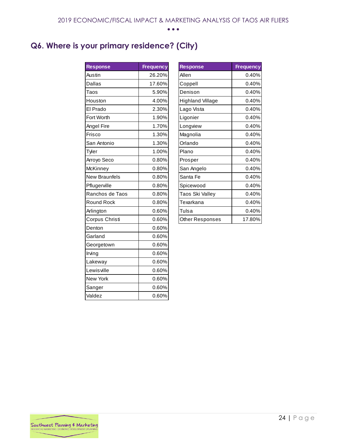# <span id="page-24-0"></span>**Q6. Where is your primary residence? (City)**

| <b>Response</b>      | <b>Frequency</b> | <b>Response</b>         |
|----------------------|------------------|-------------------------|
| Austin               | 26.20%           | Allen                   |
| <b>Dallas</b>        | 17.60%           | Coppell                 |
| Taos                 | 5.90%            | Denison                 |
| Houston              | 4.00%            | <b>Highland Village</b> |
| El Prado             | 2.30%            | Lago Vista              |
| Fort Worth           | 1.90%            | Ligonier                |
| Angel Fire           | 1.70%            | Longview                |
| <b>Frisco</b>        | 1.30%            | Magnolia                |
| San Antonio          | 1.30%            | Orlando                 |
| Tyler                | 1.00%            | Plano                   |
| Arroyo Seco          | 0.80%            | Prosper                 |
| McKinney             | 0.80%            | San Angelo              |
| <b>New Braunfels</b> | 0.80%            | Santa Fe                |
| Pflugerville         | 0.80%            | Spicewood               |
| Ranchos de Taos      | 0.80%            | Taos Ski Valley         |
| <b>Round Rock</b>    | 0.80%            | Texarkana               |
| Arlington            | 0.60%            | Tulsa                   |
| Corpus Christi       | 0.60%            | Other Responses         |
| Denton               | 0.60%            |                         |
| Garland              | 0.60%            |                         |
| Georgetown           | 0.60%            |                         |
| Irving               | 0.60%            |                         |
| Lakeway              | 0.60%            |                         |
| Lewisville           | 0.60%            |                         |
| New York             | 0.60%            |                         |
| Sanger               | 0.60%            |                         |
| Valdez               | 0.60%            |                         |

| <b>Response</b>  | <b>Frequency</b> |
|------------------|------------------|
| Allen            | 0.40%            |
| Coppell          | 0.40%            |
| Denison          | 0.40%            |
| Highland Village | 0.40%            |
| Lago Vista       | 0.40%            |
| Ligonier         | 0.40%            |
| Longview         | 0.40%            |
| Magnolia         | 0.40%            |
| Orlando          | 0.40%            |
| Plano            | 0.40%            |
| Prosper          | 0.40%            |
| San Angelo       | 0.40%            |
| Santa Fe         | 0.40%            |
| Spicewood        | 0.40%            |
| Taos Ski Valley  | 0.40%            |
| Texarkana        | 0.40%            |
| Tulsa            | 0.40%            |
| Other Responses  | 17.80%           |

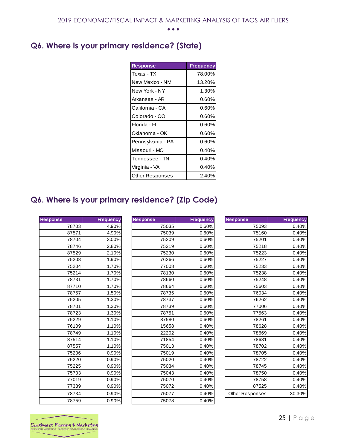# <span id="page-25-0"></span>**Q6. Where is your primary residence? (State)**

| <b>Response</b>        | <b>Frequency</b> |
|------------------------|------------------|
| Texas - TX             | 78.00%           |
| New Mexico - NM        | 13.20%           |
| New York - NY          | 1.30%            |
| Arkansas - AR          | 0.60%            |
| California - CA        | 0.60%            |
| Colorado - CO          | 0.60%            |
| Florida - FL           | 0.60%            |
| Oklahoma - OK          | 0.60%            |
| Pennsylvania - PA      | 0.60%            |
| Missouri - MO          | 0.40%            |
| Tennessee - TN         | 0.40%            |
| Virginia - VA          | 0.40%            |
| <b>Other Responses</b> | 2.40%            |

# <span id="page-25-1"></span>**Q6. Where is your primary residence? (Zip Code)**

| <b>Response</b> | <b>Frequency</b> |
|-----------------|------------------|
| 78703           | 4.90%            |
| 87571           | 4.90%            |
| 78704           | 3.00%            |
| 78746           | 2.80%            |
| 87529           | 2.10%            |
| 75208           | 1.90%            |
| 75204           | 1.70%            |
| 75214           | 1.70%            |
| 78731           | 1.70%            |
| 87710           | 1.70%            |
| 78757           | 1.50%            |
| 75205           | 1.30%            |
| 78701           | 1.30%            |
| 78723           | 1.30%            |
| 75229           | 1.10%            |
| 76109           | 1.10%            |
| 78749           | 1.10%            |
| 87514           | 1.10%            |
| 87557           | 1.10%            |
| 75206           | 0.90%            |
| 75220           | 0.90%            |
| 75225           | 0.90%            |
| 75703           | 0.90%            |
| 77019           | 0.90%            |
| 77389           | 0.90%            |
| 78734           | 0.90%            |
| 78759           | 0.90%            |

|       | <b>Frequency</b> | <b>Response</b> | <b>Frequency</b> | <b>Response</b> | <b>Frequency</b> |
|-------|------------------|-----------------|------------------|-----------------|------------------|
| 78703 | 4.90%            | 75035           | 0.60%            | 75093           | 0.40%            |
| 87571 | 4.90%            | 75039           | 0.60%            | 75160           | 0.40%            |
| 78704 | 3.00%            | 75209           | 0.60%            | 75201           | 0.40%            |
| 78746 | 2.80%            | 75219           | 0.60%            | 75218           | 0.40%            |
| 87529 | 2.10%            | 75230           | 0.60%            | 75223           | 0.40%            |
| 75208 | 1.90%            | 76266           | 0.60%            | 75227           | 0.40%            |
| 75204 | 1.70%            | 77008           | 0.60%            | 75233           | 0.40%            |
| 75214 | 1.70%            | 78130           | 0.60%            | 75238           | 0.40%            |
| 78731 | 1.70%            | 78660           | 0.60%            | 75248           | 0.40%            |
| 87710 | 1.70%            | 78664           | 0.60%            | 75603           | 0.40%            |
| 78757 | 1.50%            | 78735           | 0.60%            | 76034           | 0.40%            |
| 75205 | 1.30%            | 78737           | 0.60%            | 76262           | 0.40%            |
| 78701 | 1.30%            | 78739           | 0.60%            | 77006           | 0.40%            |
| 78723 | 1.30%            | 78751           | 0.60%            | 77563           | 0.40%            |
| 75229 | 1.10%            | 87580           | 0.60%            | 78261           | 0.40%            |
| 76109 | 1.10%            | 15658           | 0.40%            | 78628           | 0.40%            |
| 78749 | 1.10%            | 22202           | 0.40%            | 78669           | 0.40%            |
| 87514 | 1.10%            | 71854           | 0.40%            | 78681           | 0.40%            |
| 87557 | 1.10%            | 75013           | 0.40%            | 78702           | 0.40%            |
| 75206 | 0.90%            | 75019           | 0.40%            | 78705           | 0.40%            |
| 75220 | 0.90%            | 75020           | 0.40%            | 78722           | 0.40%            |
| 75225 | 0.90%            | 75034           | 0.40%            | 78745           | 0.40%            |
| 75703 | 0.90%            | 75043           | 0.40%            | 78750           | 0.40%            |
| 77019 | 0.90%            | 75070           | 0.40%            | 78758           | 0.40%            |
| 77389 | 0.90%            | 75072           | 0.40%            | 87525           | 0.40%            |
| 78734 | 0.90%            | 75077           | 0.40%            | Other Responses | 30.30%           |
| 78759 | 0.90%            | 75078           | 0.40%            |                 |                  |

| <b>Response</b>        | <b>Frequency</b> |
|------------------------|------------------|
| 75093                  | 0.40%            |
| 75160                  | 0.40%            |
| 75201                  | 0.40%            |
| 75218                  | 0.40%            |
| 75223                  | 0.40%            |
| 75227                  | 0.40%            |
| 75233                  | 0.40%            |
| 75238                  | 0.40%            |
| 75248                  | 0.40%            |
| 75603                  | 0.40%            |
| 76034                  | 0.40%            |
| 76262                  | 0.40%            |
| 77006                  | 0.40%            |
| 77563                  | 0.40%            |
| 78261                  | 0.40%            |
| 78628                  | 0.40%            |
| 78669                  | 0.40%            |
| 78681                  | 0.40%            |
| 78702                  | 0.40%            |
| 78705                  | 0.40%            |
| 78722                  | 0.40%            |
| 78745                  | 0.40%            |
| 78750                  | 0.40%            |
| 78758                  | 0.40%            |
| 87525                  | 0.40%            |
| <b>Other Responses</b> | 30.30%           |
|                        |                  |

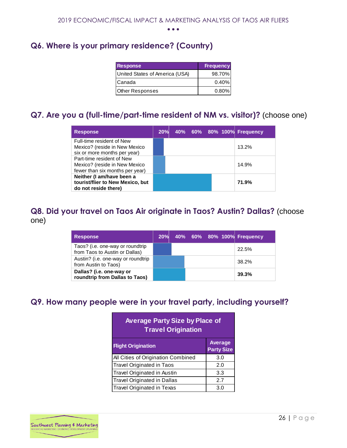# <span id="page-26-0"></span>**Q6. Where is your primary residence? (Country)**

| <b>Response</b>                | <b>Frequency</b> |
|--------------------------------|------------------|
| United States of America (USA) | 98.70%           |
| <b>ICanada</b>                 | $0.40\%$         |
| <b>Other Responses</b>         | $0.80\%$         |

## <span id="page-26-1"></span>**Q7. Are you a (full-time/part-time resident of NM vs. visitor)?** (choose one)

| <b>Response</b>                                                                               | 20% |  |  | 40% 60% 80% 100% Frequency |
|-----------------------------------------------------------------------------------------------|-----|--|--|----------------------------|
| Full-time resident of New<br>Mexico? (reside in New Mexico<br>six or more months per year)    |     |  |  | 13.2%                      |
| Part-time resident of New<br>Mexico? (reside in New Mexico<br>fewer than six months per year) |     |  |  | 14.9%                      |
| Neither (I am/have been a<br>tourist/flier to New Mexico, but<br>do not reside there)         |     |  |  | 71.9%                      |

### <span id="page-26-2"></span>**Q8. Did your travel on Taos Air originate in Taos? Austin? Dallas?** (choose one)

| <b>Response</b>                                                    |  |  | 20% 40% 60% 80% 100% Frequency |
|--------------------------------------------------------------------|--|--|--------------------------------|
| Taos? (i.e. one-way or roundtrip<br>from Taos to Austin or Dallas) |  |  | 22.5%                          |
| Austin? (i.e. one-way or roundtrip<br>from Austin to Taos)         |  |  | 38.2%                          |
| Dallas? (i.e. one-way or<br>roundtrip from Dallas to Taos)         |  |  | 39.3%                          |

# <span id="page-26-3"></span>**Q9. How many people were in your travel party, including yourself?**

| <b>Average Party Size by Place of</b><br><b>Travel Origination</b> |     |  |  |  |  |  |  |
|--------------------------------------------------------------------|-----|--|--|--|--|--|--|
| Average<br><b>Flight Origination</b><br><b>Party Size</b>          |     |  |  |  |  |  |  |
| All Cities of Origination Combined                                 | 3.0 |  |  |  |  |  |  |
| <b>Travel Originated in Taos</b>                                   | 2.0 |  |  |  |  |  |  |
| <b>Travel Originated in Austin</b>                                 | 3.3 |  |  |  |  |  |  |
| <b>Travel Originated in Dallas</b>                                 | 2.7 |  |  |  |  |  |  |
| Travel Originated in Texas                                         | 3.0 |  |  |  |  |  |  |

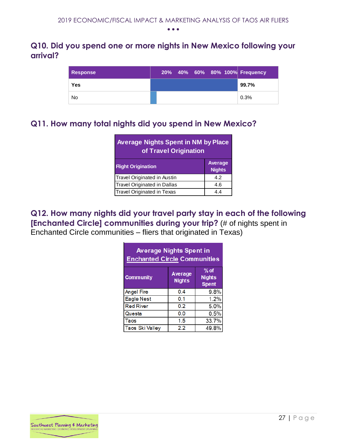### <span id="page-27-0"></span>**Q10. Did you spend one or more nights in New Mexico following your arrival?**

| <b>Response</b> |  | 20% 40% 60% 80% 100% Frequency |
|-----------------|--|--------------------------------|
| Yes             |  | 99.7%                          |
| No              |  | 0.3%                           |

# <span id="page-27-1"></span>**Q11. How many total nights did you spend in New Mexico?**

| <b>Average Nights Spent in NM by Place</b><br>of Travel Origination |                          |  |  |  |  |  |
|---------------------------------------------------------------------|--------------------------|--|--|--|--|--|
| <b>Flight Origination</b>                                           | Average<br><b>Nights</b> |  |  |  |  |  |
| Travel Originated in Austin                                         | 4.2                      |  |  |  |  |  |
| <b>Travel Originated in Dallas</b>                                  | 4.6                      |  |  |  |  |  |
| <b>Travel Originated in Texas</b>                                   | 44                       |  |  |  |  |  |

### <span id="page-27-2"></span>**Q12. How many nights did your travel party stay in each of the following [Enchanted Circle] communities during your trip?** (# of nights spent in Enchanted Circle communities – fliers that originated in Texas)

| <b>Average Nights Spent in</b><br><b>Enchanted Circle Communities</b>                   |     |       |  |  |  |  |  |  |
|-----------------------------------------------------------------------------------------|-----|-------|--|--|--|--|--|--|
| $%$ of<br>Average<br><b>Community</b><br><b>Nights</b><br><b>Nights</b><br><b>Spent</b> |     |       |  |  |  |  |  |  |
| <b>Angel Fire</b>                                                                       | 0.4 | 9.8%  |  |  |  |  |  |  |
| <b>Eagle Nest</b>                                                                       | 0.1 | 1.2%  |  |  |  |  |  |  |
| <b>Red River</b>                                                                        | 0.2 | 5.0%  |  |  |  |  |  |  |
| Questa                                                                                  | 0.0 | 0.5%  |  |  |  |  |  |  |
| Taos                                                                                    | 1.5 | 33.7% |  |  |  |  |  |  |
| <b>Taos Ski Valley</b>                                                                  | 2.2 | 49.8% |  |  |  |  |  |  |

<span id="page-27-3"></span>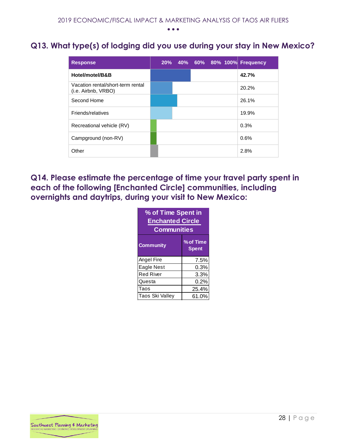## **Q13. What type(s) of lodging did you use during your stay in New Mexico?**

| <b>Response</b>                                          |  |  | 20% 40% 60% 80% 100% Frequency |
|----------------------------------------------------------|--|--|--------------------------------|
| Hotel/motel/B&B                                          |  |  | 42.7%                          |
| Vacation rental/short-term rental<br>(i.e. Airbnb, VRBO) |  |  | 20.2%                          |
| Second Home                                              |  |  | 26.1%                          |
| Friends/relatives                                        |  |  | 19.9%                          |
| Recreational vehicle (RV)                                |  |  | 0.3%                           |
| Campground (non-RV)                                      |  |  | 0.6%                           |
| Other                                                    |  |  | 2.8%                           |

<span id="page-28-0"></span>**Q14. Please estimate the percentage of time your travel party spent in each of the following [Enchanted Circle] communities, including overnights and daytrips, during your visit to New Mexico:** 

| % of Time Spent in<br><b>Enchanted Circle</b><br><b>Communities</b> |       |  |  |  |  |  |  |
|---------------------------------------------------------------------|-------|--|--|--|--|--|--|
| % of Time<br><b>Community</b><br>Spent                              |       |  |  |  |  |  |  |
| Angel Fire                                                          | 7.5%  |  |  |  |  |  |  |
| Eagle Nest                                                          | 0.3%  |  |  |  |  |  |  |
| <b>Red River</b>                                                    | 3.3%  |  |  |  |  |  |  |
| Questa<br>0.2%                                                      |       |  |  |  |  |  |  |
| Taos<br>25.4%                                                       |       |  |  |  |  |  |  |
| Taos Ski Vallev                                                     | 61.0% |  |  |  |  |  |  |

<span id="page-28-1"></span>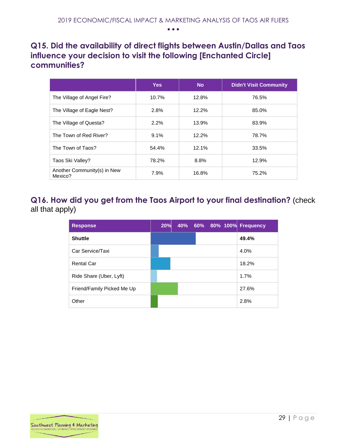## **Q15. Did the availability of direct flights between Austin/Dallas and Taos influence your decision to visit the following [Enchanted Circle] communities?**

|                                        | <b>Yes</b> | <b>No</b> | <b>Didn't Visit Community</b> |
|----------------------------------------|------------|-----------|-------------------------------|
| The Village of Angel Fire?             | 10.7%      | 12.8%     | 76.5%                         |
| The Village of Eagle Nest?             | 2.8%       | 12.2%     | 85.0%                         |
| The Village of Questa?                 | 2.2%       | 13.9%     | 83.9%                         |
| The Town of Red River?                 | 9.1%       | 12.2%     | 78.7%                         |
| The Town of Taos?                      | 54.4%      | 12.1%     | 33.5%                         |
| Taos Ski Valley?                       | 78.2%      | 8.8%      | 12.9%                         |
| Another Community(s) in New<br>Mexico? | 7.9%       | 16.8%     | 75.2%                         |

## <span id="page-29-0"></span>**Q16. How did you get from the Taos Airport to your final destination?** (check all that apply)

| <b>Response</b>            | 20% |  |  | 40% 60% 80% 100% Frequency |
|----------------------------|-----|--|--|----------------------------|
| <b>Shuttle</b>             |     |  |  | 49.4%                      |
| Car Service/Taxi           |     |  |  | 4.0%                       |
| <b>Rental Car</b>          |     |  |  | 18.2%                      |
| Ride Share (Uber, Lyft)    |     |  |  | 1.7%                       |
| Friend/Family Picked Me Up |     |  |  | 27.6%                      |
| Other                      |     |  |  | 2.8%                       |

<span id="page-29-1"></span>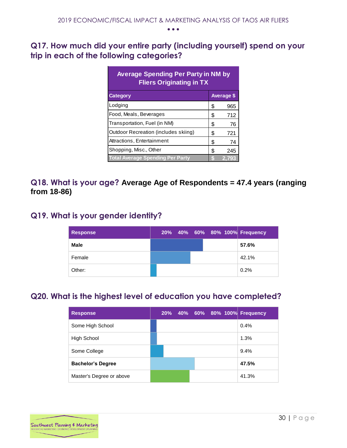## **Q17. How much did your entire party (including yourself) spend on your trip in each of the following categories?**

| <b>Average Spending Per Party in NM by</b><br><b>Fliers Originating in TX</b> |    |                   |  |  |  |  |  |  |
|-------------------------------------------------------------------------------|----|-------------------|--|--|--|--|--|--|
| <b>Category</b>                                                               |    | <b>Average \$</b> |  |  |  |  |  |  |
| Lodging                                                                       | S  | 965               |  |  |  |  |  |  |
| Food, Meals, Beverages                                                        | \$ | 712               |  |  |  |  |  |  |
| Transportation, Fuel (in NM)                                                  | \$ | 76                |  |  |  |  |  |  |
| Outdoor Recreation (includes skiing)                                          | \$ | 721               |  |  |  |  |  |  |
| Attractions, Entertainment                                                    | \$ | 74                |  |  |  |  |  |  |
| Shopping, Misc., Other                                                        | \$ | 245               |  |  |  |  |  |  |
| <b>Total Average Spending Per Party</b>                                       | S  | 2.793             |  |  |  |  |  |  |

### <span id="page-30-0"></span>**Q18. What is your age? Average Age of Respondents = 47.4 years (ranging from 18-86)**

# <span id="page-30-1"></span>**Q19. What is your gender identity?**

| <b>Response</b> |  |  | 20% 40% 60% 80% 100% Frequency |
|-----------------|--|--|--------------------------------|
| <b>Male</b>     |  |  | 57.6%                          |
| Female          |  |  | 42.1%                          |
| Other:          |  |  | 0.2%                           |

# <span id="page-30-2"></span>**Q20. What is the highest level of education you have completed?**

<span id="page-30-3"></span>

| <b>Response</b>          | 20% |  |  | 40% 60% 80% 100% Frequency |
|--------------------------|-----|--|--|----------------------------|
| Some High School         |     |  |  | 0.4%                       |
| High School              |     |  |  | 1.3%                       |
| Some College             |     |  |  | 9.4%                       |
| <b>Bachelor's Degree</b> |     |  |  | 47.5%                      |
| Master's Degree or above |     |  |  | 41.3%                      |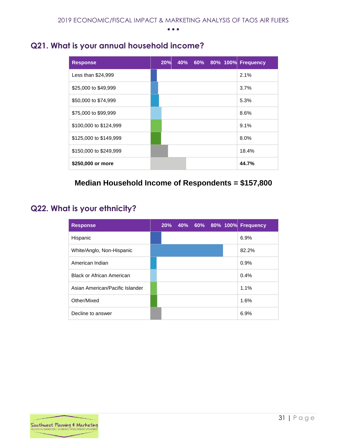## **Q21. What is your annual household income?**

| <b>Response</b>        |  | 20% 40% 60% 80% 100% Frequency |       |
|------------------------|--|--------------------------------|-------|
| Less than \$24,999     |  |                                | 2.1%  |
| \$25,000 to \$49,999   |  |                                | 3.7%  |
| \$50,000 to \$74,999   |  |                                | 5.3%  |
| \$75,000 to \$99,999   |  |                                | 8.6%  |
| \$100,000 to \$124,999 |  |                                | 9.1%  |
| \$125,000 to \$149,999 |  |                                | 8.0%  |
| \$150,000 to \$249,999 |  |                                | 18.4% |
| \$250,000 or more      |  |                                | 44.7% |

### **Median Household Income of Respondents = \$157,800**

## <span id="page-31-0"></span>**Q22. What is your ethnicity?**

| <b>Response</b>                  |  |  |  | 20% 40% 60% 80% 100% Frequency |
|----------------------------------|--|--|--|--------------------------------|
| Hispanic                         |  |  |  | 6.9%                           |
| White/Anglo, Non-Hispanic        |  |  |  | 82.2%                          |
| American Indian                  |  |  |  | 0.9%                           |
| <b>Black or African American</b> |  |  |  | 0.4%                           |
| Asian American/Pacific Islander  |  |  |  | 1.1%                           |
| Other/Mixed                      |  |  |  | 1.6%                           |
| Decline to answer                |  |  |  | 6.9%                           |

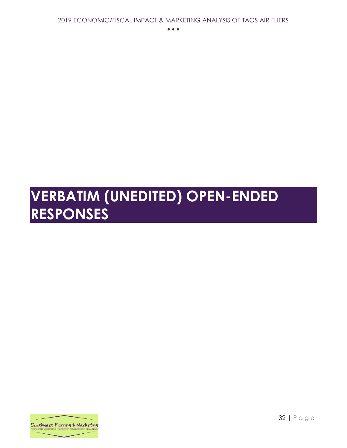# <span id="page-32-0"></span>**VERBATIM (UNEDITED) OPEN-ENDED RESPONSES**

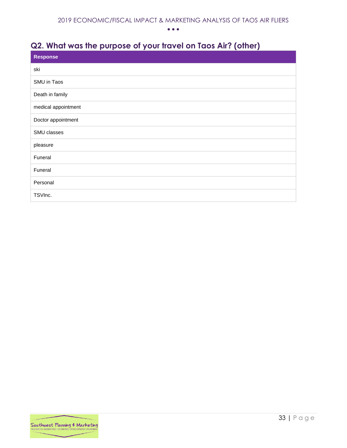# <span id="page-33-0"></span>**Q2. What was the purpose of your travel on Taos Air? (other)**

| <b>Response</b>     |
|---------------------|
| ski                 |
| SMU in Taos         |
| Death in family     |
| medical appointment |
| Doctor appointment  |
| SMU classes         |
| pleasure            |
| Funeral             |
| Funeral             |
| Personal            |
| TSVInc.             |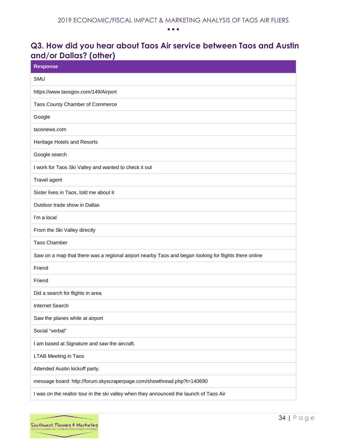## <span id="page-34-0"></span>**Q3. How did you hear about Taos Air service between Taos and Austin and/or Dallas? (other)**

| <b>Response</b>                                                                                       |
|-------------------------------------------------------------------------------------------------------|
| <b>SMU</b>                                                                                            |
| https://www.taosgov.com/149/Airport                                                                   |
| Taos County Chamber of Commerce                                                                       |
| Google                                                                                                |
| taosnews.com                                                                                          |
| Heritage Hotels and Resorts                                                                           |
| Google search                                                                                         |
| I work for Taos Ski Valley and wanted to check it out                                                 |
| Travel agent                                                                                          |
| Sister lives in Taos, told me about it                                                                |
| Outdoor trade show in Dallas                                                                          |
| I'm a local                                                                                           |
| From the Ski Valley directly                                                                          |
| <b>Taos Chamber</b>                                                                                   |
| Saw on a map that there was a regional airport nearby Taos and began looking for flights there online |
| Friend                                                                                                |
| Friend                                                                                                |
| Did a search for flights in area                                                                      |
| Internet Search                                                                                       |
| Saw the planes while at airport                                                                       |
| Social "verbal"                                                                                       |
| I am based at Signature and saw the aircraft.                                                         |
| <b>LTAB Meeting in Taos</b>                                                                           |
| Attended Austin kickoff party.                                                                        |
| message board: http://forum.skyscraperpage.com/showthread.php?t=140690                                |
| I was on the realtor tour in the ski valley when they announced the launch of Taos Air                |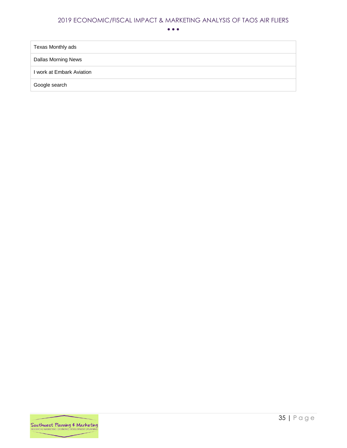• • •

Texas Monthly ads

Dallas Morning News

I work at Embark Aviation

Google search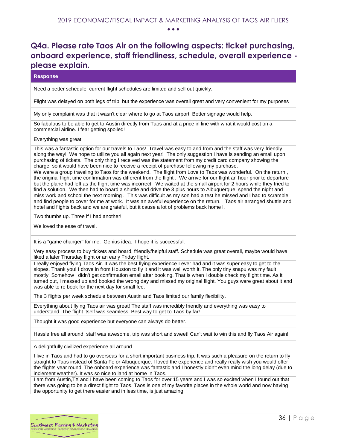## <span id="page-36-0"></span>**Q4a. Please rate Taos Air on the following aspects: ticket purchasing, onboard experience, staff friendliness, schedule, overall experience please explain.**

#### **Response**

Need a better schedule; current flight schedules are limited and sell out quickly.

Flight was delayed on both legs of trip, but the experience was overall great and very convenient for my purposes

My only complaint was that it wasn't clear where to go at Taos airport. Better signage would help.

So fabulous to be able to get to Austin directly from Taos and at a price in line with what it would cost on a commercial airline. I fear getting spoiled!

Everything was great

This was a fantastic option for our travels to Taos! Travel was easy to and from and the staff was very friendly along the way! We hope to utilize you all again next year! The only suggestion I have is sending an email upon purchasing of tickets. The only thing I received was the statement from my credit card company showing the charge, so it would have been nice to receive a receipt of purchase following my purchase.

We were a group traveling to Taos for the weekend. The flight from Love to Taos was wonderful. On the return, the original flight time confirmation was different from the flight . We arrive for our flight an hour prior to departure but the plane had left as the flight time was incorrect. We waited at the small airport for 2 hours while they tried to find a solution. We then had to board a shuttle and drive the 3 plus hours to Albuquerque, spend the night and miss work and school the next morning . This was difficult as my son had a test he missed and I had to scramble and find people to cover for me at work. It was an aweful experience on the return. Taos air arranged shuttle and hotel and flights back and we are grateful, but it cause a lot of problems back home l.

Two thumbs up. Three if I had another!

We loved the ease of travel.

It is a "game changer" for me. Genius idea. I hope it is successful.

Very easy process to buy tickets and board, friendly/helpful staff. Schedule was great overall, maybe would have liked a later Thursday flight or an early Friday flight.

I really enjoyed flying Taos Air. It was the best flying experience I ever had and it was super easy to get to the slopes. Thank you! I drove in from Houston to fly it and it was well worth it. The only tiny snapu was my fault mostly. Somehow I didn't get confirmation email after booking. That is when I double check my flight time. As it turned out, I messed up and booked the wrong day and missed my original flight. You guys were great about it and was able to re book for the next day for small fee.

The 3 flights per week schedule between Austin and Taos limited our family flexibility.

Everything about flying Taos air was great! The staff was incredibly friendly and everything was easy to understand. The flight itself was seamless. Best way to get to Taos by far!

Thought it was good experience but everyone can always do better.

Hassle free all around, staff was awesome, trip was short and sweet! Can't wait to win this and fly Taos Air again!

A delightfully civilized experience all around.

I live in Taos and had to go overseas for a short important business trip. It was such a pleasure on the return to fly straight to Taos instead of Santa Fe or Albuquerque. I loved the experience and really really wish you would offer the flights year round. The onboard experience was fantastic and I honestly didn't even mind the long delay (due to inclement weather). It was so nice to land at home in Taos.

I am from Austin,TX and I have been coming to Taos for over 15 years and I was so excited when I found out that there was going to be a direct flight to Taos. Taos is one of my favorite places in the whole world and now having the opportunity to get there easier and in less time, is just amazing.

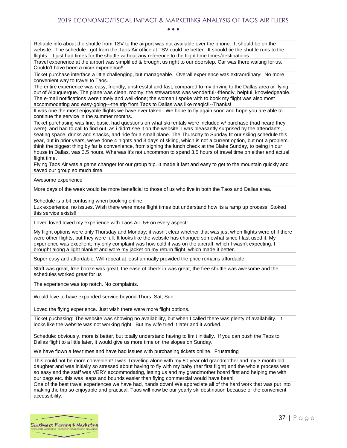Reliable info about the shuttle from TSV to the airport was not available over the phone. It should be on the website. The schedule I got from the Taos Air office at TSV could be better. It should tie the shuttle runs to the flights. It just had times for the shuttle without any reference to the flight time times/destinations.

Travel experience at the airport was simplified & brought us right to our doorstep. Car was there waiting for us. Couldn't have been a nicer experience!!

Ticket purchase interface a little challenging, but manageable. Overall experience was extraordinary! No more convenient way to travel to Taos.

The entire experience was easy, friendly, unstressful and fast, compared to my driving to the Dallas area or flying out of Albuquerque. The plane was clean, roomy; the stewardess was wonderful--friendly, helpful, knowledgeable. The e-mail notifications were timely and well-done; the woman I spoke with to book my flight was also most accommodating and easy-going---the trip from Taos to Dallas was like magic!!--Thanks!

It was one the most enjoyable flights we have ever taken. We hope to fly again soon and hope you are able to continue the service in the summer months.

Ticket purchasing was fine, basic, had questions on what ski rentals were included w/ purchase (had heard they were), and had to call to find out, as i didn't see it on the website. I was pleasantly surprised by the attendants, seating space, drinks and snacks, and ride for a small plane. The Thursday to Sunday fit our skiing schedule this year, but in prior years, we've done 4 nights and 3 days of skiing, which is not a current option, but not a problem. I think the biggest thing by far is convenience, from signing the lunch check at the Blake Sunday, to being in our house in Dallas, was 3.5 hours. Whereas it's not uncommon to spend 3.5 hours of travel time on either end actual flight time.

Flying Taos Air was a game changer for our group trip. It made it fast and easy to get to the mountain quickly and saved our group so much time.

#### Awesome experience

More days of the week would be more beneficial to those of us who live in both the Taos and Dallas area.

Schedule is a bit confusing when booking online.

Lux experience, no issues. Wish there were more flight times but understand how its a ramp up process. Stoked this service exists!!

Loved loved loved my experience with Taos Air. 5+ on every aspect!

My flight options were only Thursday and Monday; it wasn't clear whether that was just when flights were of if there were other flights, but they were full. It looks like the website has changed somewhat since I last used it. My experience was excellent; my only complaint was how cold it was on the aircraft, which I wasn't expecting. I brought along a light blanket and wore my jacket on my return flight, which made it better.

Super easy and affordable. Will repeat at least annually provided the price remains affordable.

Staff was great, free booze was great, the ease of check in was great, the free shuttle was awesome and the schedules worked great for us

The experience was top notch. No complaints.

Would love to have expanded service beyond Thurs, Sat, Sun.

Loved the flying experience. Just wish there were more flight options.

Ticket puchasing: The website was showing no availability, but when I called there was plenty of availability. It looks like the website was not working right. But my wife tried it later and it worked.

Schedule: obviously, more is better, but totally understand having to limit initially. If you can push the Taos to Dallas flight to a little later, it would give us more time on the slopes on Sunday.

We have flown a few times and have had issues with purchasing tickets online. Frustrating

This could not be more convenient! I was Traveling alone with my 80 year old grandmother and my 3 month old daughter and was initially so stressed about having to fly with my baby (her first flight) and the whole process was so easy and the staff was VERY accommodating, letting us and my grandmother board first and helping me with our bags etc. this was leaps and bounds easier than flying commercial would have been!

One of the best travel experiences we have had, hands down! We appreciate all of the hard work that was put into making the trip so enjoyable and practical. Taos will now be our yearly ski destination because of the convenient accessibility.

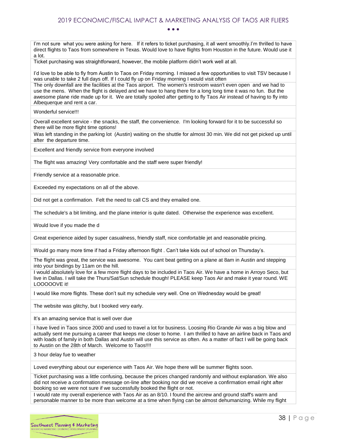• • •

I'm not sure what you were asking for here. If it refers to ticket purchasing, it all went smoothly.I'm thrilled to have direct flights to Taos from somewhere in Texas. Would love to have flights from Houston in the future. Would use it a lot.

Ticket purchasing was straightforward, however, the mobile platform didn't work well at all.

I'd love to be able to fly from Austin to Taos on Friday morning. I missed a few opportunities to visit TSV because I was unable to take 2 full days off. If I could fly up on Friday morning I would visit often

The only downfall are the facilities at the Taos airport. The women's restroom wasn't even open and we had to use the mens. When the flight is delayed and we have to hang there for a long long time it was no fun. But the awesome plane ride made up for it. We are totally spoiled after getting to fly Taos Air instead of having to fly into Albequerque and rent a car.

Wonderful service!!!

Overall excellent service - the snacks, the staff, the convenience. I'm looking forward for it to be successful so there will be more flight time options!

Was left standing in the parking lot (Austin) waiting on the shuttle for almost 30 min. We did not get picked up until after the departure time.

Excellent and friendly service from everyone involved

The flight was amazing! Very comfortable and the staff were super friendly!

Friendly service at a reasonable price.

Exceeded my expectations on all of the above.

Did not get a confirmation. Felt the need to call CS and they emailed one.

The schedule's a bit limiting, and the plane interior is quite dated. Otherwise the experience was excellent.

Would love if you made the d

Great experience aided by super casualness, friendly staff, nice comfortable jet and reasonable pricing.

Would go many more time if had a Friday afternoon flight . Can't take kids out of school on Thursday's.

The flight was great, the service was awesome. You cant beat getting on a plane at 8am in Austin and stepping into your bindings by 11am on the hill.

I would absolutely love for a few more flight days to be included in Taos Air. We have a home in Arroyo Seco, but live in Dallas. I will take the Thurs/Sat/Sun schedule though! PLEASE keep Taos Air and make it year round. WE LOOOOOVE it!

I would like more flights. These don't suit my schedule very well. One on Wednesday would be great!

The website was glitchy, but I booked very early.

It's an amazing service that is well over due

I have lived in Taos since 2000 and used to travel a lot for business. Loosing Rio Grande Air was a big blow and actually sent me pursuing a career that keeps me closer to home. I am thrilled to have an airline back in Taos and with loads of family in both Dallas and Austin will use this service as often. As a matter of fact I will be going back to Austin on the 28th of March. Welcome to Taos!!!!

3 hour delay fue to weather

Loved everything about our experience with Taos Air. We hope there will be summer flights soon.

Ticket purchasing was a little confusing, because the prices changed randomly and without explanation. We also did not receive a confirmation message on-line after booking nor did we receive a confirmation email right after booking so we were not sure if we successfully booked the flight or not.

I would rate my overall experience with Taos Air as an 8/10. I found the aircrew and ground staff's warm and personable manner to be more than welcome at a time when flying can be almost dehumanizing. While my flight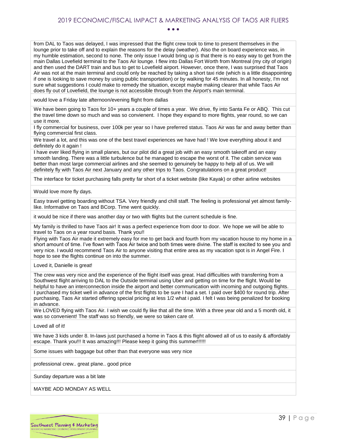from DAL to Taos was delayed, I was impressed that the flight crew took to time to present themselves in the lounge prior to take off and to explain the reasons for the delay (weather). Also the on board experience was, in my humble estimation, second to none. The only issue I would bring up is that there is no easy way to get from the main Dallas Lovefield terminal to the Taos Air lounge. I flew into Dallas Fort Worth from Montreal (my city of origin) and then used the DART train and bus to get to Lovefield airport. However, once there, I was surprised that Taos Air was not at the main terminal and could only be reached by taking a short taxi ride (which is a little disappointing if one is looking to save money by using public transportation) or by walking for 45 minutes. In all honesty, I'm not sure what suggestions I could make to remedy the situation, except maybe making clearer that while Taos Air does fly out of Lovefield, the lounge is not accessible through from the Airport's main terminal.

would love a Friday late afternoon/evening flight from dallas

We have been going to Taos for 10+ years a couple of times a year. We drive, fly into Santa Fe or ABQ. This cut the travel time down so much and was so convienent. I hope they expand to more flights, year round, so we can use it more.

I fly commercial for business, over 100k per year so I have preferred status. Taos Air was far and away better than flying commercial first class.

We travel a lot, and this was one of the best travel experiences we have had ! We love everything about it and definitely do it again !

I have ever liked flying in small planes, but our pilot did a great job with an easy smooth takeoff and an easy smooth landing. There was a little turbulence but he managed to escape the worst of it. The cabin service was better than most large commercial airlines and she seemed to genuinely be happy to help all of us. We will definitely fly with Taos Air next January and any other trips to Taos. Congratulations on a great product!

The interface for ticket purchasing falls pretty far short of a ticket website (like Kayak) or other airline websites

Would love more fly days.

Easy travel getting boarding without TSA. Very friendly and chill staff. The feeling is professional yet almost familylike. Informative on Taos and BCorp. Time went quickly.

it would be nice if there was another day or two with flights but the current schedule is fine.

My family is thrilled to have Taos air! It was a perfect experience from door to door. We hope we will be able to travel to Taos on a year round basis. Thank you!!

Flying with Taos Air made it extremely easy for me to get back and fourth from my vacation house to my home in a short amount of time. I've flown with Taos Air twice and both times were divine. The staff is excited to see you and very nice. I would recommend Taos Air to anyone visiting that entire area as my vacation spot is in Angel Fire. I hope to see the flights continue on into the summer.

Loved it, Danielle is great!

The crew was very nice and the experience of the flight itself was great. Had difficulties with transferring from a Southwest flight arriving to DAL to the Outside terminal using Uber and getting on time for the flight. Would be helpful to have an interconnection inside the airport and better communication with incoming and outgoing flights. I purchased my ticket well in advance of the first flights to be sure I had a set. I paid over \$400 for round trip. After purchasing, Taos Air started offering special pricing at less 1/2 what i paid. I felt I was being penalized for booking in advance.

We LOVED flying with Taos Air. I wish we could fly like that all the time. With a three year old and a 5 month old, it was so convenient! The staff was so friendly, we were so taken care of.

Loved all of it!

We have 3 kids under 8. In-laws just purchased a home in Taos & this flight allowed all of us to easily & affordably escape. Thank you!!! It was amazing!!! Please keep it going this summer!!!!!!

Some issues with baggage but other than that everyone was very nice

professional crew.. great plane.. good price

Sunday departure was a bit late

MAYBE ADD MONDAY AS WELL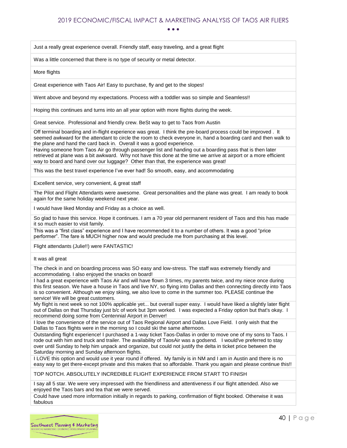Just a really great experience overall. Friendly staff, easy traveling, and a great flight

Was a little concerned that there is no type of security or metal detector.

More flights

Great experience with Taos Air! Easy to purchase, fly and get to the slopes!

Went above and beyond my expectations. Process with a toddler was so simple and Seamless!!

Hoping this continues and turns into an all year option with more flights during the week.

Great service. Professional and friendly crew. BeSt way to get to Taos from Austin

Off terminal boarding and in-flight experience was great. I think the pre-board process could be improved . It seemed awkward for the attendant to circle the room to check everyone in, hand a boarding card and then walk to the plane and hand the card back in. Overall it was a good experience.

Having someone from Taos Air go through passenger list and handing out a boarding pass that is then later retrieved at plane was a bit awkward. Why not have this done at the time we arrive at airport or a more efficient way to board and hand over our luggage? Other than that, the experience was great!

This was the best travel experience I've ever had! So smooth, easy, and accommodating

Excellent service, very convenient, & great staff

The Pilot and Flight Attendants were awesome. Great personalities and the plane was great. I am ready to book again for the same holiday weekend next year.

I would have liked Monday and Friday as a choice as well.

So glad to have this service. Hope it continues. I am a 70 year old permanent resident of Taos and this has made it so much easier to visit family.

This was a "first class" experience and I have recommended it to a number of others. It was a good "price performer". The fare is MUCH higher now and would preclude me from purchasing at this level.

Flight attendants (Julie!!) were FANTASTIC!

It was all great

The check in and on boarding process was SO easy and low-stress. The staff was extremely friendly and accommodating. I also enjoyed the snacks on board!

I had a great experience with Taos Air and will have flown 3 times, my parents twice, and my niece once during this first season. We have a house in Taos and live NY, so flying into Dallas and then connecting directly into Taos is so convenient. Although we enjoy skiing, we also love to come in the summer too. PLEASE continue the service! We will be great customers.

My flight is next week so not 100% applicable yet... but overall super easy. I would have liked a slightly later flight out of Dallas on that Thursday just b/c of work but 3pm worked. I was expected a Friday option but that's okay. I recommend doing some from Centennial Airport in Denver!

I love the convenience of the service out of Taos Regional Airport and Dallas Love Field. I only wish that the Dallas to Taos flights were in the morning so I could ski the same afternoon.

Outstanding flight experience! I purchased a 1-way ticket Taos-Dallas in order to move one of my sons to Taos. I rode out with him and truck and trailer. The availability of TaosAir was a godsend. I would've preferred to stay over until Sunday to help him unpack and organize, but could not justify the delta in ticket price between the Saturday morning and Sunday afternoon flights.

I LOVE this option and would use it year round if offered. My family is in NM and I am in Austin and there is no easy way to get there-except private and this makes that so affordable. Thank you again and please continue this!!

TOP NOTCH. ABSOLUTELY INCREDIBLE FLIGHT EXPERIENCE FROM START TO FINISH

I say all 5 star. We were very impressed with the friendliness and attentiveness if our flight attended. Also we enjoyed the Taos bars and tea that we were served.

Could have used more information initially in regards to parking, confirmation of flight booked. Otherwise it was fabulous

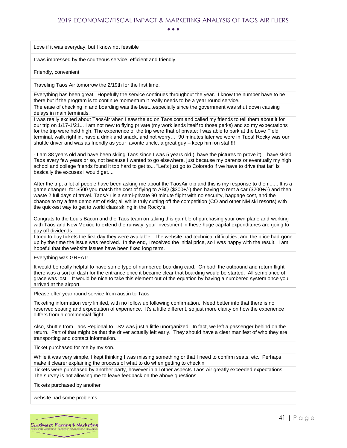Love if it was everyday, but I know not feasible

I was impressed by the courteous service, efficient and friendly.

Friendly, convenient

Traveling Taos Air tomorrow the 2/19th for the first time.

Everything has been great. Hopefully the service continues throughout the year. I know the number have to be there but if the program is to continue momentum it really needs to be a year round service.

The ease of checking in and boarding was the best...especially since the government was shut down causing delays in main terminals.

I was really excited about TaosAir when I saw the ad on Taos.com and called my friends to tell them about it for our trip on 1/17-1/21... I am not new to flying private (my work lends itself to those perks) and so my expectations for the trip were held high. The experience of the trip were that of private; I was able to park at the Love Field terminal, walk right in, have a drink and snack, and not worry… 90 minutes later we were in Taos! Rocky was our shuttle driver and was as friendly as your favorite uncle, a great guy – keep him on staff!!!

- I am 38 years old and have been skiing Taos since I was 5 years old (I have the pictures to prove it); I have skied Taos every few years or so, not because I wanted to go elsewhere, just because my parents or eventually my high school and college friends found it too hard to get to... "Let's just go to Colorado if we have to drive that far" is basically the excuses I would get....

After the trip, a lot of people have been asking me about the TaosAir trip and this is my response to them...... It is a game changer; for \$500 you match the cost of flying to ABQ (\$300+/-) then having to rent a car (\$200+/-) and then waste 2 full days of travel. TaosAir is a semi-private 90 minute flight with no security, baggage cost, and the chance to try a free demo set of skis; all while truly cutting off the competition (CO and other NM ski resorts) with the quickest way to get to world class skiing in the Rocky's.

Congrats to the Louis Bacon and the Taos team on taking this gamble of purchasing your own plane and working with Taos and New Mexico to extend the runway; your investment in these huge capital expenditures are going to pay off dividends.

I tried to buy tickets the first day they were available. The website had technical difficulties, and the price had gone up by the time the issue was resolved. In the end, I received the initial price, so I was happy with the result. I am hopeful that the website issues have been fixed long term.

Everything was GREAT!

It would be really helpful to have some type of numbered boarding card. On both the outbound and return flight there was a sort of dash for the entrance once it became clear that boarding would be started. All semblance of grace was lost. It would be nice to take this element out of the equation by having a numbered system once you arrived at the airport.

Please offer year round service from austin to Taos

Ticketing information very limited, with no follow up following confirmation. Need better info that there is no reserved seating and expectation of experience. It's a little different, so just more clarity on how the experience differs from a commercial flight.

Also, shuttle from Taos Regional to TSV was just a little unorganized. In fact, we left a passenger behind on the return. Part of that might be that the driver actually left early. They should have a clear manifest of who they are transporting and contact information.

Ticket purchased for me by my son.

While it was very simple, I kept thinking I was missing something or that I need to confirm seats, etc. Perhaps make it clearer explaining the process of what to do when getting to checkin

Tickets were purchased by another party, however in all other aspects Taos Air greatly exceeded expectations. The survey is not allowing me to leave feedback on the above questions.

Tickets purchased by another

website had some problems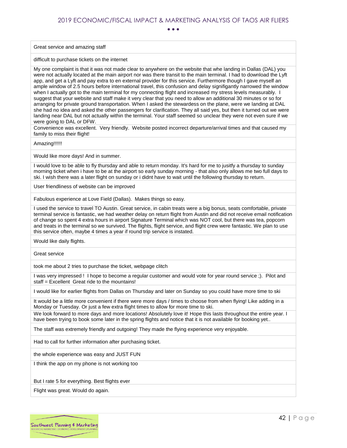Great service and amazing staff

difficult to purchase tickets on the internet

My one complaint is that it was not made clear to anywhere on the website that whe landing in Dallas (DAL) you were not actually located at the main airport nor was there transit to the main terminal. I had to download the Lyft app, and get a Lyft and pay extra to en external provider for this service. Furthermore though I gave myself an ample window of 2.5 hours before international travel, this confusion and delay signifigantly narrowed the window when I actually got to the main terminal for my connecting flight and increased my stress levels measurably. I suggest that your website and staff make it very clear that you need to allow an additional 30 minutes or so for arranging for private ground transportation. When I asked the stewardess on the plane, were we landing at DAL she had no idea and asked the other passengers for clarification. They all said yes, but then it turned out we were landing near DAL but not actually within the terminal. Your staff seemed so unclear they were not even sure if we were going to DAL or DFW.

Convenience was excellent. Very friendly. Website posted incorrect departure/arrival times and that caused my family to miss their flight!

Amazing!!!!!!

Would like more days! And in summer.

I would love to be able to fly thursday and able to return monday. It's hard for me to jusitfy a thursday to sunday morning ticket when i have to be at the airport so early sunday morning - that also only allows me two full days to ski. I wish there was a later flight on sunday or i didnt have to wait until the following thursday to return.

User friendliness of website can be improved

Fabulous experience at Love Field (Dallas). Makes things so easy.

I used the service to travel TO Austin. Great service, in cabin treats were a big bonus, seats comfortable, private terminal service is fantastic, we had weather delay on return flight from Austin and did not receive email notification of change so spent 4 extra hours in airport Signature Terminal which was NOT cool, but there was tea, popcorn and treats in the terminal so we survived. The flights, flight service, and flight crew were fantastic. We plan to use this service often, maybe 4 times a year if round trip service is instated.

Would like daily flights.

Great service

took me about 2 tries to purchase the ticket, webpage clitch

I was very impressed ! I hope to become a regular customer and would vote for year round service ;). Pilot and staff = Excellent Great ride to the mountains!

I would like for earlier flights from Dallas on Thursday and later on Sunday so you could have more time to ski

It would be a little more convenient if there were more days / times to choose from when flying! Like adding in a Monday or Tuesday. Or just a few extra flight times to allow for more time to ski.

We look forward to more days and more locations! Absolutely love it! Hope this lasts throughout the entire year. I have been trying to book some later in the spring flights and notice that it is not available for booking yet..

The staff was extremely friendly and outgoing! They made the flying experience very enjoyable.

Had to call for further information after purchasing ticket.

the whole experience was easy and JUST FUN

I think the app on my phone is not working too

But I rate 5 for everything. Best flights ever

Flight was great. Would do again.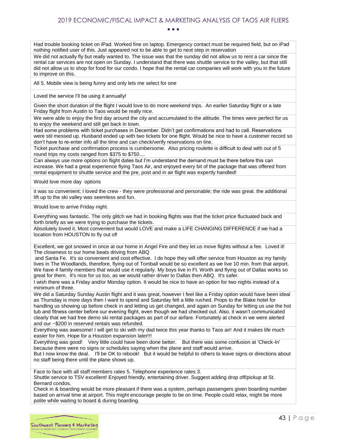• • •

Had trouble booking ticket on iPad. Worked fine on laptop. Emergency contact must be required field, but on iPad nothing notified user of this. Just appeared not to be able to get to next step in reservation

We did not actually fly but really wanted to. The issue was that the sunday did not allow us to rent a car since the rental car services are not open on Sunday. I understand that there was shuttle service to the valley, but that still did not allow us to shop for food for our condo. I hope that the rental car companies will work with you in the future to improve on this.

All 5. Mobile view is being funny and only lets me select for one

Loved the service I'll be using it annually!

Given the short duration of the flight I would love to do more weekend trips. An earlier Saturday flight or a late Friday flight from Austin to Taos would be really nice.

We were able to enjoy the first day around the city and accumulated to the altitude. The times were perfect for us to enjoy the weekend and still get back in town.

Had some problems with ticket purchases in December. Didn't get confirmations and had to call. Reservations were stil messed up. Husband ended up with two tickets for one flight. Would be nice to have a customer record so don't have to re-enter info all the time and can check/verify reservations on line.

Ticket purchase and confirmation process is cumbersome. Also pricing roulette is difficult to deal with out of 5 round trips my costs ranged from \$375 to \$750....

Can always use more options on flight dates but I'm understand the demand must be there before this can increase. We had a great experience flying Taos Air, and enjoyed every bit of the package that was offered from rental equipment to shuttle service and the pre, post and in air flight was expertly handled!

Would love more day options

it was so convenient; I loved the crew - they were professional and personable; the ride was great. the additional lift up to the ski valley was seemless and fun.

Would love to arrive Friday night.

Everything was fantastic. The only glitch we had in booking flights was that the ticket price fluctuated back and forth briefly as we were trying to purchase the tickets.

Absolutely loved it. Most convenient but would LOVE and make a LIFE CHANGING DIFFERENCE if we had a location from HOUSTON to fly out of!

Excellent, we got snowed in once at our home in Angel Fire and they let us move flights without a fee. Loved it! The closeness to our home beats driving from ABQ

and Santa Fe. It's so convenient and cost effective. I do hope they will offer service from Houston as my family lives in The Woodlands, therefore, flying out of Tomball would be so excellent as we live 10 min. from that airport. We have 4 family members that would use it regularly. My boys live in Ft. Worth and flying out of Dallas works so great for them. It's nice for us too, as we would rather driver to Dallas then ABQ. It's safer.

I wish there was a Friday and/or Monday option. It would be nice to have an option for two nights instead of a minimum of three.

We did a Saturday Sunday Austin flight and it was great, however I feel like a Friday option would have been ideal as Thursday is more days then I want to spend and Saturday felt a little rushed. Props to the Blake hotel for handling us showing up before check in and letting us get changed, and again on Sunday for letting us use the hot tub and fitness center before our evening flight, even though we had checked out. Also, it wasn't communicated clearly that we had free demo ski rental packages as part of our airfare. Fortunately at check in we were alerted and our ~\$200 in reserved rentals was refunded.

Everything was awesome! I will get to ski with my dad twice this year thanks to Taos air! And it makes life much easier for him. Hope for a Houston expansion later!!!

Everything was good! Very little could have been done better. But there was some confusion at 'Check-In' because there were no signs or schedules saying when the plane and staff would arrive.

But I now know the deal. I'll be OK to rebook! But it would be helpful to others to leave signs or directions about no staff being there until the plane shows up.

Face to face with all staff members rates 5. Telephone experience rates 3. Shuttle service to TSV excellent! Enjoyed friendly, entertaining driver. Suggest adding drop off/pickup at St. Bernard condos.

Check in & boarding would be more pleasant if there was a system, perhaps passengers given boarding number based on arrival time at airport. This might encourage people to be on time. People could relax, might be more polite while waiting to board & during boarding.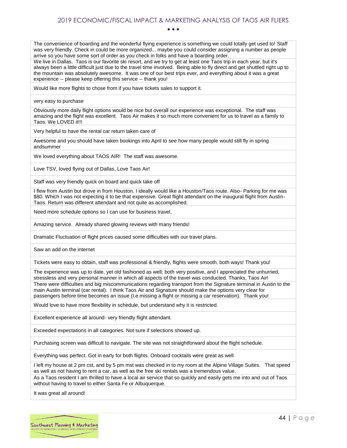• • •

The convenience of boarding and the wonderful flying experience is something we could totally get used to! Staff was very friendly. Check in could be more organized... maybe you could consider assigning a number as people arrive so you have some sort of order as you check in folks and have a boarding order.

We live in Dallas. Taos is our favorite ski resort, and we try to get at least one Taos trip in each year, but it's always been a little difficult just due to the travel time involved. Being able to fly direct and get shuttled right up to the mountain was absolutely awesome. It was one of our best trips ever, and everything about it was a great experience -- please keep offering this service -- thank you!

Would like more flights to chose from if you have tickets sales to support it.

very easy to purchase

Obviously more daily flight options would be nice but overall our experience was exceptional. The staff was amazing and the flight was excellent. Taos Air makes it so much more convenient for us to travel as a family to Taos. We LOVED it!!!

Very helpful to have the rental car return taken care of

Awesome and you should have taken bookings into April to see how many people would still fly in spring andsummer

We loved everything about TAOS AIR! The staff was awesome.

Love TSV, loved flying out of Dallas, Love Taos Air!

Staff was very friendly quick on board and quick take off

I flew from Austin but drove in from Houston. I ideally would like a Houston/Taos route. Also- Parking for me was \$80. Which I was not expecting it to be that expensive. Great flight attendant on the inaugural flight from Austin-Taos. Return was different attendant and not quite as accomplished.

Need more schedule options so I can use for business travel.

Amazing service. Already shared glowing reviews with many friends!

Dramatic Fluctuation of flight prices caused some difficulties with our travel plans.

Saw an add on the internet

Tickets were easy to obtain, staff was professional & friendly, flights were smooth, both ways! Thank you!

The experience was up to date, yet old fashioned as well; both very positive, and I appreciated the unhurried, stressless and very personal manner in which all aspects of the travel was conducted. Thanks, Taos Air! There were difficulties and big miscommunications regarding transport from the Signature terminal in Austin to the main Austin terminal (car rental). I think Taos Air and Signature should make the options very clear for passengers before time becomes an issue (I.e.missing a flight or missing a car reservation). Thank you!

Would love to have more flexibility in schedule, but understand why it is restricted.

Excellent experience all around- very friendly flight attendant.

Exceeded expectations in all categories. Not sure if selections showed up.

Purchasing screen was difficult to navigate. The site was not straightforward about the flight schedule.

Everything was perfect. Got in early for both flights. Onboard cocktails were great as well

I left my house at 2 pm cst, and by 5 pm mst was checked in to my room at the Alpine Village Suites. That speed as well as not having to rent a car, as well as the free ski rentals was a tremendous value.

As a Taos resident I am thrilled to have a local air service that so quickly and easily gets me into and out of Taos without having to travel to either Santa Fe or Albuquerque.

It was great all around!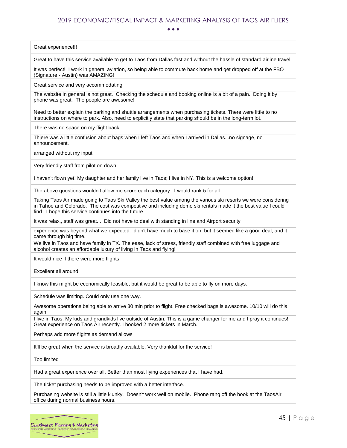• • •

Great experience!!!

Great to have this service available to get to Taos from Dallas fast and without the hassle of standard airline travel.

It was perfect! I work in general aviation, so being able to commute back home and get dropped off at the FBO (Signature - Austin) was AMAZING!

Great service and very accommodating

The website in general is not great. Checking the schedule and booking online is a bit of a pain. Doing it by phone was great. The people are awesome!

Need to better explain the parking and shuttle arrangements when purchasing tickets. There were little to no instructions on where to park. Also, need to explicitly state that parking should be in the long-term lot.

There was no space on my flight back

Thjere was a little confusion about bags when I left Taos and when I arrived in Dallas...no signage, no announcement.

arranged without my input

Very friendly staff from pilot on down

I haven't flown yet! My daughter and her family live in Taos; I live in NY. This is a welcome option!

The above questions wouldn't allow me score each category. I would rank 5 for all

Taking Taos Air made going to Taos Ski Valley the best value among the various ski resorts we were considering in Tahoe and Colorado. The cost was competitive and including demo ski rentals made it the best value I could find. I hope this service continues into the future.

It was relax,,,staff was great... Did not have to deal with standing in line and Airport security

experience was beyond what we expected. didn't have much to base it on, but it seemed like a good deal, and it came through big time.

We live in Taos and have family in TX. The ease, lack of stress, friendly staff combined with free luggage and alcohol creates an affordable luxury of living in Taos and flying!

It would nice if there were more flights.

Excellent all around

I know this might be economically feasible, but it would be great to be able to fly on more days.

Schedule was limiting. Could only use one way.

Awesome operations being able to arrive 30 min prior to flight. Free checked bags is awesome. 10/10 will do this again

I live in Taos. My kids and grandkids live outside of Austin. This is a game changer for me and I pray it continues! Great experience on Taos Air recently. I booked 2 more tickets in March.

Perhaps add more flights as demand allows

It'll be great when the service is broadly available. Very thankful for the service!

Too limited

Had a great experience over all. Better than most flying experiences that I have had.

The ticket purchasing needs to be improved with a better interface.

Purchasing website is still a little klunky. Doesn't work well on mobile. Phone rang off the hook at the TaosAir office during normal business hours.

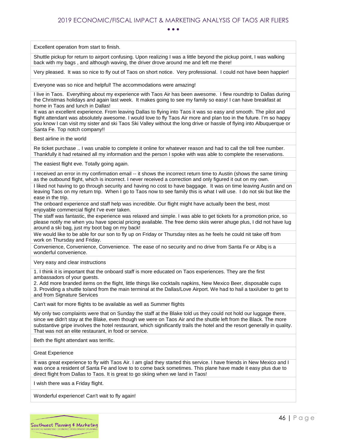• • •

Excellent operation from start to finish.

Shuttle pickup for return to airport confusing. Upon realizing I was a little beyond the pickup point, I was walking back with my bags , and although waving, the driver drove around me and left me there!

Very pleased. It was so nice to fly out of Taos on short notice. Very professional. I could not have been happier!

Everyone was so nice and helpful! The accommodations were amazing!

I live in Taos. Everything about my experience with Taos Air has been awesome. I flew roundtrip to Dallas during the Christmas holidays and again last week. It makes going to see my family so easy! I can have breakfast at home in Taos and lunch in Dallas!

It was an excellent experience. From leaving Dallas to flying into Taos it was so easy and smooth. The pilot and flight attendant was absolutely awesome. I would love to fly Taos Air more and plan too in the future. I'm so happy you know I can visit my sister and ski Taos Ski Valley without the long drive or hassle of flying into Albuquerque or Santa Fe. Top notch company!!

Best airline in the world

Re ticket purchase .. I was unable to complete it online for whatever reason and had to call the toll free number. Thankfully it had retained all my information and the person I spoke with was able to complete the reservations.

The easiest flight eve. Totally going again.

I received an error in my confirmation email -- it shows the incorrect return time to Austin (shows the same timing as the outbound flight, which is incorrect. I never received a correction and only figured it out on my own.

I liked not having to go through security and having no cost to have baggage. It was on time leaving Austin and on leaving Taos on my return trip. When I go to Taos now to see family this is what I will use. I do not ski but like the ease in the trip.

The onboard experience and staff help was incredible. Our flight might have actually been the best, most enjoyable commercial flight I've ever taken.

The staff was fantastic, the experience was relaxed and simple. I was able to get tickets for a promotion price, so please notify me when you have special pricing available. The free demo skiis werer ahuge plus, I did not have lug around a ski bag, just my boot bag on my back!

We would like to be able for our son to fly up on Friday or Thursday nites as he feels he could nit take off from work on Thursday and Friday.

Convenience, Convenience, Convenience. The ease of no security and no drive from Santa Fe or Albq is a wonderful convenience.

Very easy and clear instructions

1. I think it is important that the onboard staff is more educated on Taos experiences. They are the first ambassadors of your guests.

2. Add more branded items on the flight, little things like cocktails napkins, New Mexico Beer, disposable cups 3. Providing a shuttle to/and from the main terminal at the Dallas/Love Airport. We had to hail a taxi/uber to get to and from Signature Services

Can't wait for more flights to be available as well as Summer flights

My only two complaints were that on Sunday the staff at the Blake told us they could not hold our luggage there, since we didn't stay at the Blake, even though we were on Taos Air and the shuttle left from the Black. The more substantive gripe involves the hotel restaurant, which significantly trails the hotel and the resort generally in quality. That was not an elite restaurant, in food or service.

Beth the flight attendant was terrific.

Great Experience

It was great experience to fly with Taos Air. I am glad they started this service. I have friends in New Mexico and I was once a resident of Santa Fe and love to to come back sometimes. This plane have made it easy plus due to direct flight from Dallas to Taos. It is great to go skiing when we land in Taos!

I wish there was a Friday flight.

Wonderful experience! Can't wait to fly again!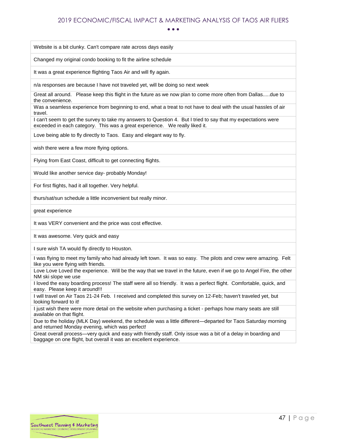• • •

Website is a bit clunky. Can't compare rate across days easily

Changed my original condo booking to fit the airline schedule

It was a great experience flighting Taos Air and will fly again.

n/a responses are because I have not traveled yet, will be doing so next week

Great all around. Please keep this flight in the future as we now plan to come more often from Dallas.....due to the convenience.

Was a seamless experience from beginning to end, what a treat to not have to deal with the usual hassles of air travel.

I can't seem to get the survey to take my answers to Question 4. But I tried to say that my expectations were exceeded in each category. This was a great experience. We really liked it.

Love being able to fly directly to Taos. Easy and elegant way to fly.

wish there were a few more flying options.

Flying from East Coast, difficult to get connecting flights.

Would like another service day- probably Monday!

For first flights, had it all together. Very helpful.

thurs/sat/sun schedule a little inconvenient but really minor.

great experience

It was VERY convenient and the price was cost effective.

It was awesome. Very quick and easy

I sure wish TA would fly directly to Houston.

I was flying to meet my family who had already left town. It was so easy. The pilots and crew were amazing. Felt like you were flying with friends.

Love Love Loved the experience. Will be the way that we travel in the future, even if we go to Angel Fire, the other NM ski slope we use

I loved the easy boarding process! The staff were all so friendly. It was a perfect flight. Comfortable, quick, and easy. Please keep it around!!!

I will travel on Air Taos 21-24 Feb. I received and completed this survey on 12-Feb; haven't traveled yet, but looking forward to it!

I just wish there were more detail on the website when purchasing a ticket - perhaps how many seats are still available on that flight.

Due to the holiday (MLK Day) weekend, the schedule was a little different—departed for Taos Saturday morning and returned Monday evening, which was perfect!

Great overall process—very quick and easy with friendly staff. Only issue was a bit of a delay in boarding and baggage on one flight, but overall it was an excellent experience.

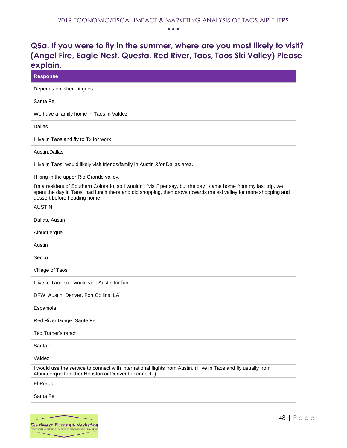## <span id="page-48-0"></span>**Q5a. If you were to fly in the summer, where are you most likely to visit? (Angel Fire, Eagle Nest, Questa, Red River, Taos, Taos Ski Valley) Please explain.**

| <b>Response</b>                                                                                                                                                                                                                                                      |
|----------------------------------------------------------------------------------------------------------------------------------------------------------------------------------------------------------------------------------------------------------------------|
| Depends on where it goes.                                                                                                                                                                                                                                            |
| Santa Fe                                                                                                                                                                                                                                                             |
| We have a family home in Taos in Valdez                                                                                                                                                                                                                              |
| <b>Dallas</b>                                                                                                                                                                                                                                                        |
| I live in Taos and fly to Tx for work                                                                                                                                                                                                                                |
| Austin; Dallas                                                                                                                                                                                                                                                       |
| I live in Taos; would likely visit friends/family in Austin &/or Dallas area.                                                                                                                                                                                        |
| Hiking in the upper Rio Grande valley.                                                                                                                                                                                                                               |
| I'm a resident of Southern Colorado, so I wouldn't "visit" per say, but the day I came home from my last trip, we<br>spent the day in Taos, had lunch there and did shopping, then drove towards the ski valley for more shopping and<br>dessert before heading home |
| <b>AUSTIN</b>                                                                                                                                                                                                                                                        |
| Dallas, Austin                                                                                                                                                                                                                                                       |
| Albuquerque                                                                                                                                                                                                                                                          |
| Austin                                                                                                                                                                                                                                                               |
| Secco                                                                                                                                                                                                                                                                |
| Village of Taos                                                                                                                                                                                                                                                      |
| I live in Taos so I would visit Austin for fun.                                                                                                                                                                                                                      |
| DFW, Austin, Denver, Fort Collins, LA                                                                                                                                                                                                                                |
| Espaniola                                                                                                                                                                                                                                                            |
| Red River Gorge, Sante Fe                                                                                                                                                                                                                                            |
| Ted Turner's ranch                                                                                                                                                                                                                                                   |
| Santa Fe                                                                                                                                                                                                                                                             |
| Valdez                                                                                                                                                                                                                                                               |
| I would use the service to connect with international flights from Austin. (I live in Taos and fly usually from<br>Albuquerque to either Houston or Denver to connect.)                                                                                              |
| El Prado                                                                                                                                                                                                                                                             |
| Santa Fe                                                                                                                                                                                                                                                             |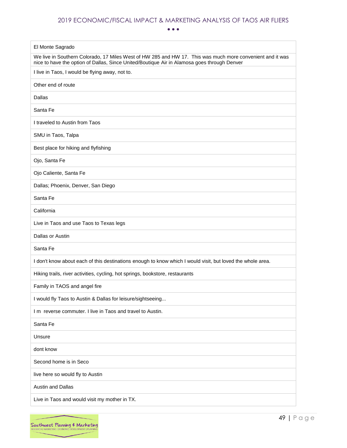• • •

| El Monte Sagrado                                                                                                                                                                                         |
|----------------------------------------------------------------------------------------------------------------------------------------------------------------------------------------------------------|
| We live in Southern Colorado, 17 Miles West of HW 285 and HW 17. This was much more convenient and it was<br>nice to have the option of Dallas, Since United/Boutique Air in Alamosa goes through Denver |
| I live in Taos, I would be flying away, not to.                                                                                                                                                          |
| Other end of route                                                                                                                                                                                       |
| Dallas                                                                                                                                                                                                   |
| Santa Fe                                                                                                                                                                                                 |
| I traveled to Austin from Taos                                                                                                                                                                           |
| SMU in Taos, Talpa                                                                                                                                                                                       |
| Best place for hiking and flyfishing                                                                                                                                                                     |
| Ojo, Santa Fe                                                                                                                                                                                            |
| Ojo Caliente, Santa Fe                                                                                                                                                                                   |
| Dallas; Phoenix, Denver, San Diego                                                                                                                                                                       |
| Santa Fe                                                                                                                                                                                                 |
| California                                                                                                                                                                                               |
| Live in Taos and use Taos to Texas legs                                                                                                                                                                  |
| Dallas or Austin                                                                                                                                                                                         |
| Santa Fe                                                                                                                                                                                                 |
| I don't know about each of this destinations enough to know which I would visit, but loved the whole area.                                                                                               |
| Hiking trails, river activities, cycling, hot springs, bookstore, restaurants                                                                                                                            |
| Family in TAOS and angel fire                                                                                                                                                                            |
| I would fly Taos to Austin & Dallas for leisure/sightseeing                                                                                                                                              |
| I m reverse commuter. I live in Taos and travel to Austin.                                                                                                                                               |
| Santa Fe                                                                                                                                                                                                 |
| Unsure                                                                                                                                                                                                   |
| dont know                                                                                                                                                                                                |
| Second home is in Seco                                                                                                                                                                                   |
| live here so would fly to Austin                                                                                                                                                                         |
| Austin and Dallas                                                                                                                                                                                        |
| Live in Taos and would visit my mother in TX.                                                                                                                                                            |

 $\overline{\phantom{0}}$ 

 $\overline{\phantom{0}}$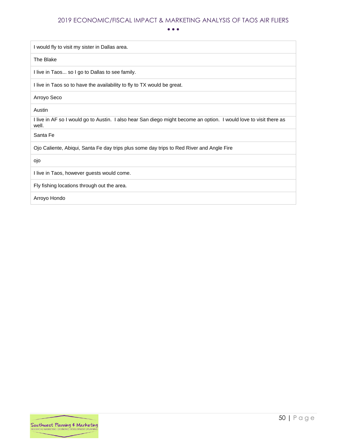• • •

I would fly to visit my sister in Dallas area.

The Blake

I live in Taos... so I go to Dallas to see family.

I live in Taos so to have the availability to fly to TX would be great.

Arroyo Seco

Austin

I live in AF so I would go to Austin. I also hear San diego might become an option. I would love to visit there as well.

Santa Fe

Ojo Caliente, Abiqui, Santa Fe day trips plus some day trips to Red River and Angle Fire

ojo

I live in Taos, however guests would come.

Fly fishing locations through out the area.

Arroyo Hondo

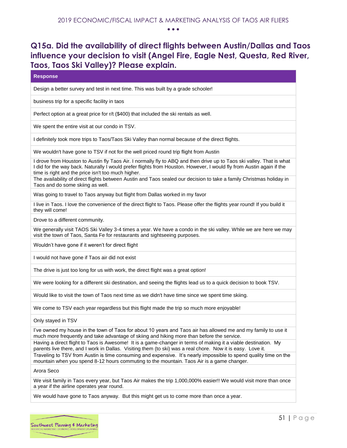## <span id="page-51-0"></span>**Q15a. Did the availability of direct flights between Austin/Dallas and Taos influence your decision to visit (Angel Fire, Eagle Nest, Questa, Red River, Taos, Taos Ski Valley)? Please explain.**

| <b>Response</b>                                                                                                                                                                                                                                                                                     |
|-----------------------------------------------------------------------------------------------------------------------------------------------------------------------------------------------------------------------------------------------------------------------------------------------------|
| Design a better survey and test in next time. This was built by a grade schooler!                                                                                                                                                                                                                   |
| business trip for a specific facility in taos                                                                                                                                                                                                                                                       |
| Perfect option at a great price for r/t (\$400) that included the ski rentals as well.                                                                                                                                                                                                              |
| We spent the entire visit at our condo in TSV.                                                                                                                                                                                                                                                      |
| I definitely took more trips to Taos/Taos Ski Valley than normal because of the direct flights.                                                                                                                                                                                                     |
| We wouldn't have gone to TSV if not for the well priced round trip flight from Austin                                                                                                                                                                                                               |
| I drove from Houston to Austin fly Taos Air. I normally fly to ABQ and then drive up to Taos ski valley. That is what<br>I did for the way back. Naturally I would prefer flights from Houston. However, I would fly from Austin again if the<br>time is right and the price isn't too much higher. |
| The availability of direct flights between Austin and Taos sealed our decision to take a family Christmas holiday in<br>Taos and do some skiing as well.                                                                                                                                            |
| Was going to travel to Taos anyway but flight from Dallas worked in my favor                                                                                                                                                                                                                        |
| I live in Taos. I love the convenience of the direct flight to Taos. Please offer the flights year round! If you build it<br>they will come!                                                                                                                                                        |
| Drove to a different community.                                                                                                                                                                                                                                                                     |
| We generally visit TAOS Ski Valley 3-4 times a year. We have a condo in the ski valley. While we are here we may<br>visit the town of Taos, Santa Fe for restaurants and sightseeing purposes.                                                                                                      |
| Wouldn't have gone if it weren't for direct flight                                                                                                                                                                                                                                                  |
| I would not have gone if Taos air did not exist                                                                                                                                                                                                                                                     |
| The drive is just too long for us with work, the direct flight was a great option!                                                                                                                                                                                                                  |
| We were looking for a different ski destination, and seeing the flights lead us to a quick decision to book TSV.                                                                                                                                                                                    |
| Would like to visit the town of Taos next time as we didn't have time since we spent time skiing.                                                                                                                                                                                                   |
| We come to TSV each year regardless but this flight made the trip so much more enjoyable!                                                                                                                                                                                                           |
| Only stayed in TSV                                                                                                                                                                                                                                                                                  |
| I've owned my house in the town of Taos for about 10 years and Taos air has allowed me and my family to use it<br>much more frequently and take advantage of skiing and hiking more than before the service.                                                                                        |

Having a direct flight to Taos is Awesome! It is a game-changer in terms of making it a viable destination. My parents live there, and I work in Dallas. Visiting them (to ski) was a real chore. Now it is easy. Love it.

Traveling to TSV from Austin is time consuming and expensive. It's nearly impossible to spend quality time on the mountain when you spend 8-12 hours commuting to the mountain. Taos Air is a game changer.

Arora Seco

We visit family in Taos every year, but Taos Air makes the trip 1,000,000% easier!! We would visit more than once a year if the airline operates year round.

We would have gone to Taos anyway. But this might get us to come more than once a year.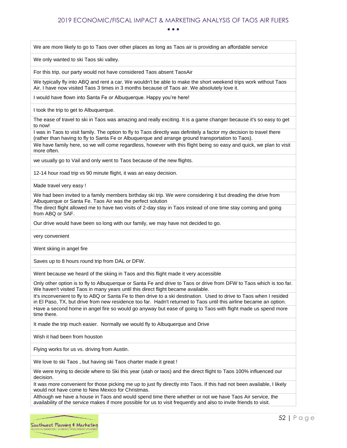We are more likely to go to Taos over other places as long as Taos air is providing an affordable service

We only wanted to ski Taos ski valley.

For this trip, our party would not have considered Taos absent TaosAir

We typically fly into ABQ and rent a car. We wouldn't be able to make the short weekend trips work without Taos Air. I have now visited Taos 3 times in 3 months because of Taos air. We absolutely love it.

I would have flown into Santa Fe or Albuquerque. Happy you're here!

I took the trip to get to Albuquerque.

The ease of travel to ski in Taos was amazing and really exciting. It is a game changer because it's so easy to get to now!

I was in Taos to visit family. The option to fly to Taos directly was definitely a factor my decision to travel there (rather than having to fly to Santa Fe or Albuquerque and arrange ground transportation to Taos).

We have family here, so we will come regardless, however with this flight being so easy and quick, we plan to visit more often.

we usually go to Vail and only went to Taos because of the new flights.

12-14 hour road trip vs 90 minute flight, it was an easy decision.

Made travel very easy !

We had been invited to a family members birthday ski trip. We were considering it but dreading the drive from Albuquerque or Santa Fe. Taos Air was the perfect solution

The direct flight allowed me to have two visits of 2-day stay in Taos instead of one time stay coming and going from ABQ or SAF.

Our drive would have been so long with our family, we may have not decided to go.

very convenient

Went skiing in angel fire

Saves up to 8 hours round trip from DAL or DFW.

Went because we heard of the skiing in Taos and this flight made it very accessible

Only other option is to fly to Albuquerque or Santa Fe and drive to Taos or drive from DFW to Taos which is too far. We haven't visited Taos in many years until this direct flight became available.

It's inconvenient to fly to ABQ or Santa Fe to then drive to a ski destination. Used to drive to Taos when I resided in El Paso, TX, but drive from new residence too far. Hadn't returned to Taos until this airline became an option. Have a second home in angel fire so would go anyway but ease of going to Taos with flight made us spend more time there.

It made the trip much easier. Normally we would fly to Albuquerque and Drive

Wish it had been from houston

Flying works for us vs. driving from Austin.

We love to ski Taos , but having ski Taos charter made it great !

We were trying to decide where to Ski this year (utah or taos) and the direct flight to Taos 100% influenced our decision.

It was more convenient for those picking me up to just fly directly into Taos. If this had not been available, I likely would not have come to New Mexico for Christmas.

Although we have a house in Taos and would spend time there whether or not we have Taos Air service, the availability of the service makes if more possible for us to visit frequently and also to invite friends to visit.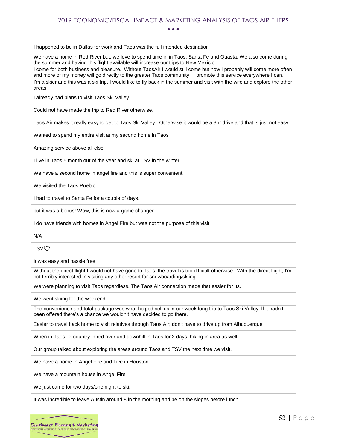• • •

I happened to be in Dallas for work and Taos was the full intended destination

We have a home in Red River but, we love to spend time in in Taos, Santa Fe and Quasta. We also come during the summer and having this flight available will increase our trips to New Mexicio

I come for both business and pleasure. Without TaosAir I would still come but now I probably will come more often and more of my money will go directly to the greater Taos community. I promote this service everywhere I can. I'm a skier and this was a ski trip. I would like to fly back in the summer and visit with the wife and explore the other areas.

I already had plans to visit Taos Ski Valley.

Could not have made the trip to Red River otherwise.

Taos Air makes it really easy to get to Taos Ski Valley. Otherwise it would be a 3hr drive and that is just not easy.

Wanted to spend my entire visit at my second home in Taos

Amazing service above all else

I live in Taos 5 month out of the year and ski at TSV in the winter

We have a second home in angel fire and this is super convenient.

We visited the Taos Pueblo

I had to travel to Santa Fe for a couple of days.

but it was a bonus! Wow, this is now a game changer.

I do have friends with homes in Angel Fire but was not the purpose of this visit

N/A

TSV❤️

It was easy and hassle free.

Without the direct flight I would not have gone to Taos, the travel is too difficult otherwise. With the direct flight, I'm not terribly interested in visiting any other resort for snowboarding/skiing.

We were planning to visit Taos regardless. The Taos Air connection made that easier for us.

We went skiing for the weekend.

The convenience and total package was what helped sell us in our week long trip to Taos Ski Valley. If it hadn't been offered there's a chance we wouldn't have decided to go there.

Easier to travel back home to visit relatives through Taos Air; don't have to drive up from Albuquerque

When in Taos I x country in red river and downhill in Taos for 2 days. hiking in area as well.

Our group talked about exploring the areas around Taos and TSV the next time we visit.

We have a home in Angel Fire and Live in Houston

We have a mountain house in Angel Fire

We just came for two days/one night to ski.

It was incredible to leave Austin around 8 in the morning and be on the slopes before lunch!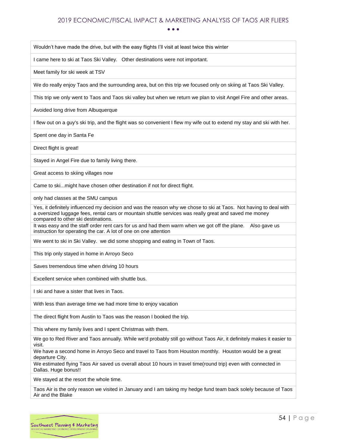• • •

Wouldn't have made the drive, but with the easy flights I'll visit at least twice this winter

I came here to ski at Taos Ski Valley. Other destinations were not important.

Meet family for ski week at TSV

We do really enjoy Taos and the surrounding area, but on this trip we focused only on skiing at Taos Ski Valley.

This trip we only went to Taos and Taos ski valley but when we return we plan to visit Angel Fire and other areas.

Avoided long drive from Albuquerque

I flew out on a guy's ski trip, and the flight was so convenient I flew my wife out to extend my stay and ski with her.

Spent one day in Santa Fe

Direct flight is great!

Stayed in Angel Fire due to family living there.

Great access to skiing villages now

Came to ski...might have chosen other destination if not for direct flight.

only had classes at the SMU campus

Yes, it definitely influenced my decision and was the reason why we chose to ski at Taos. Not having to deal with a oversized luggage fees, rental cars or mountain shuttle services was really great and saved me money compared to other ski destinations.

It was easy and the staff order rent cars for us and had them warm when we got off the plane. Also gave us instruction for operating the car. A lot of one on one attention

We went to ski in Ski Valley. we did some shopping and eating in Town of Taos.

This trip only stayed in home in Arroyo Seco

Saves tremendous time when driving 10 hours

Excellent service when combined with shuttle bus.

I ski and have a sister that lives in Taos.

With less than average time we had more time to enjoy vacation

The direct flight from Austin to Taos was the reason I booked the trip.

This where my family lives and I spent Christmas with them.

We go to Red River and Taos annually. While we'd probably still go without Taos Air, it definitely makes it easier to visit.

We have a second home in Arroyo Seco and travel to Taos from Houston monthly. Houston would be a great departure City.

We estimated flying Taos Air saved us overall about 10 hours in travel time(round trip) even with connected in Dallas. Huge bonus!!

We stayed at the resort the whole time.

Taos Air is the only reason we visited in January and I am taking my hedge fund team back solely because of Taos Air and the Blake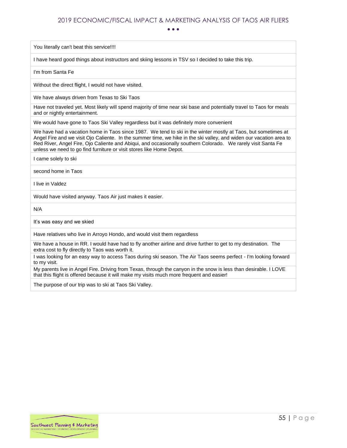• • •

You literally can't beat this service!!!!

I have heard good things about instructors and skiing lessons in TSV so I decided to take this trip.

I'm from Santa Fe

Without the direct flight, I would not have visited.

We have always driven from Texas to Ski Taos

Have not traveled yet. Most likely will spend majority of time near ski base and potentially travel to Taos for meals and or nightly entertainment.

We would have gone to Taos Ski Valley regardless but it was definitely more convenient

We have had a vacation home in Taos since 1987. We tend to ski in the winter mostly at Taos, but sometimes at Angel Fire and we visit Ojo Caliente. In the summer time, we hike in the ski valley, and widen our vacation area to Red River, Angel Fire, Ojo Caliente and Abiqui, and occasionally southern Colorado. We rarely visit Santa Fe unless we need to go find furniture or visit stores like Home Depot.

I came solely to ski

second home in Taos

I live in Valdez

Would have visited anyway. Taos Air just makes it easier.

N/A

It's was easy and we skied

Have relatives who live in Arroyo Hondo, and would visit them regardless

We have a house in RR. I would have had to fly another airline and drive further to get to my destination. The extra cost to fly directly to Taos was worth it.

I was looking for an easy way to access Taos during ski season. The Air Taos seems perfect - I'm looking forward to my visit.

My parents live in Angel Fire. Driving from Texas, through the canyon in the snow is less than desirable. I LOVE that this flight is offered because it will make my visits much more frequent and easier!

The purpose of our trip was to ski at Taos Ski Valley.

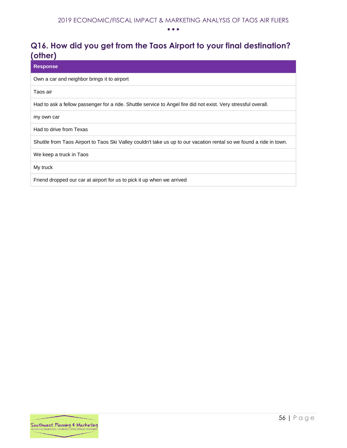## <span id="page-56-0"></span>**Q16. How did you get from the Taos Airport to your final destination? (other)**

#### **Response**

Own a car and neighbor brings it to airport

Taos air

Had to ask a fellow passenger for a ride. Shuttle service to Angel fire did not exist. Very stressful overall.

my own car

Had to drive from Texas

Shuttle from Taos Airport to Taos Ski Valley couldn't take us up to our vacation rental so we found a ride in town.

We keep a truck in Taos

My truck

Friend dropped our car at airport for us to pick it up when we arrived

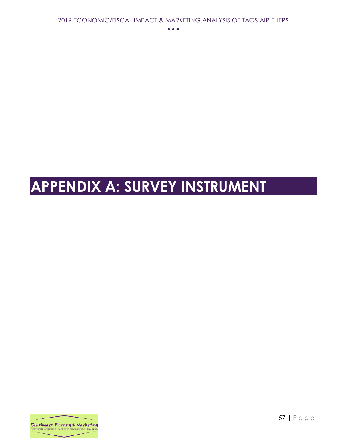# <span id="page-57-0"></span>**APPENDIX A: SURVEY INSTRUMENT**

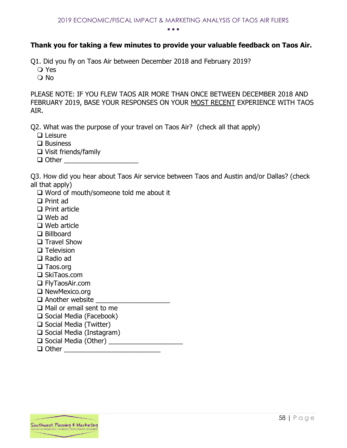#### **Thank you for taking a few minutes to provide your valuable feedback on Taos Air.**

Q1. Did you fly on Taos Air between December 2018 and February 2019?

- Yes
- O No

PLEASE NOTE: IF YOU FLEW TAOS AIR MORE THAN ONCE BETWEEN DECEMBER 2018 AND FEBRUARY 2019, BASE YOUR RESPONSES ON YOUR MOST RECENT EXPERIENCE WITH TAOS AIR.

Q2. What was the purpose of your travel on Taos Air? (check all that apply)

- ❑ Leisure
- ❑ Business
- ❑ Visit friends/family
- $\Box$  Other  $\Box$

Q3. How did you hear about Taos Air service between Taos and Austin and/or Dallas? (check all that apply)

- ❑ Word of mouth/someone told me about it
- ❑ Print ad
- ❑ Print article
- ❑ Web ad
- ❑ Web article
- ❑ Billboard
- ❑ Travel Show
- ❑ Television
- ❑ Radio ad
- ❑ Taos.org
- ❑ SkiTaos.com
- ❑ FlyTaosAir.com
- ❑ NewMexico.org
- ❑ Another website \_\_\_\_\_\_\_\_\_\_\_\_\_\_\_\_\_\_\_\_
- ❑ Mail or email sent to me
- ❑ Social Media (Facebook)
- ❑ Social Media (Twitter)
- ❑ Social Media (Instagram)
- $\Box$  Social Media (Other)
- ❑ Other \_\_\_\_\_\_\_\_\_\_\_\_\_\_\_\_\_\_\_\_\_\_\_\_\_\_

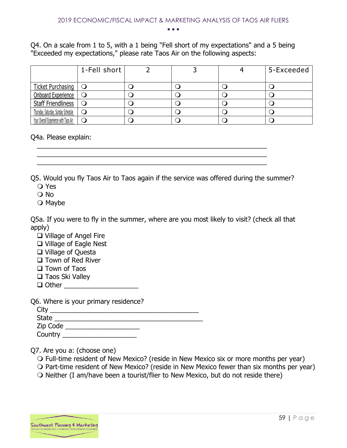Q4. On a scale from 1 to 5, with a 1 being "Fell short of my expectations" and a 5 being "Exceeded my expectations," please rate Taos Air on the following aspects:

|                                       | 1-Fell short |  | 5-Exceeded |
|---------------------------------------|--------------|--|------------|
| <b>Ticket Purchasing</b>              | $\circ$      |  |            |
| <b>Onboard Experience</b>             | $\cup$       |  |            |
| Staff Friendliness                    |              |  |            |
| Thursday, Saturday, Sunday Schedule   |              |  |            |
| Your Overall Experience with Taos Air |              |  |            |

Q4a. Please explain:

Q5. Would you fly Taos Air to Taos again if the service was offered during the summer? Yes

 $\frac{1}{2}$  ,  $\frac{1}{2}$  ,  $\frac{1}{2}$  ,  $\frac{1}{2}$  ,  $\frac{1}{2}$  ,  $\frac{1}{2}$  ,  $\frac{1}{2}$  ,  $\frac{1}{2}$  ,  $\frac{1}{2}$  ,  $\frac{1}{2}$  ,  $\frac{1}{2}$  ,  $\frac{1}{2}$  ,  $\frac{1}{2}$  ,  $\frac{1}{2}$  ,  $\frac{1}{2}$  ,  $\frac{1}{2}$  ,  $\frac{1}{2}$  ,  $\frac{1}{2}$  ,  $\frac{1$  $\frac{1}{2}$  ,  $\frac{1}{2}$  ,  $\frac{1}{2}$  ,  $\frac{1}{2}$  ,  $\frac{1}{2}$  ,  $\frac{1}{2}$  ,  $\frac{1}{2}$  ,  $\frac{1}{2}$  ,  $\frac{1}{2}$  ,  $\frac{1}{2}$  ,  $\frac{1}{2}$  ,  $\frac{1}{2}$  ,  $\frac{1}{2}$  ,  $\frac{1}{2}$  ,  $\frac{1}{2}$  ,  $\frac{1}{2}$  ,  $\frac{1}{2}$  ,  $\frac{1}{2}$  ,  $\frac{1$  $\frac{1}{2}$  ,  $\frac{1}{2}$  ,  $\frac{1}{2}$  ,  $\frac{1}{2}$  ,  $\frac{1}{2}$  ,  $\frac{1}{2}$  ,  $\frac{1}{2}$  ,  $\frac{1}{2}$  ,  $\frac{1}{2}$  ,  $\frac{1}{2}$  ,  $\frac{1}{2}$  ,  $\frac{1}{2}$  ,  $\frac{1}{2}$  ,  $\frac{1}{2}$  ,  $\frac{1}{2}$  ,  $\frac{1}{2}$  ,  $\frac{1}{2}$  ,  $\frac{1}{2}$  ,  $\frac{1$ 

- O No
- $\bigcirc$  Maybe

Q5a. If you were to fly in the summer, where are you most likely to visit? (check all that apply)

- ❑ Village of Angel Fire
- ❑ Village of Eagle Nest
- ❑ Village of Questa
- ❑ Town of Red River
- ❑ Town of Taos
- ❑ Taos Ski Valley
- ❑ Other \_\_\_\_\_\_\_\_\_\_\_\_\_\_\_\_\_\_\_\_

Q6. Where is your primary residence?

| (با اب       |  |  |
|--------------|--|--|
| <b>State</b> |  |  |
| Zip Code     |  |  |
| Country      |  |  |

Q7. Are you a: (choose one)

- Full-time resident of New Mexico? (reside in New Mexico six or more months per year)
- $\Omega$  Part-time resident of New Mexico? (reside in New Mexico fewer than six months per year)
- $\Omega$  Neither (I am/have been a tourist/flier to New Mexico, but do not reside there)

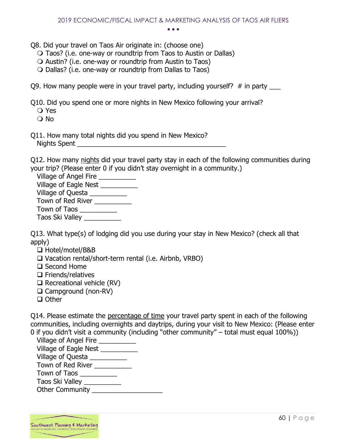Q8. Did your travel on Taos Air originate in: (choose one)

- Taos? (i.e. one-way or roundtrip from Taos to Austin or Dallas)
- $\bigcirc$  Austin? (i.e. one-way or roundtrip from Austin to Taos)
- Dallas? (i.e. one-way or roundtrip from Dallas to Taos)

Q9. How many people were in your travel party, including yourself?  $\#$  in party

Q10. Did you spend one or more nights in New Mexico following your arrival?

- Yes
- No
- Q11. How many total nights did you spend in New Mexico? Nights Spent **and a**

Q12. How many nights did your travel party stay in each of the following communities during your trip? (Please enter 0 if you didn't stay overnight in a community.)

Village of Angel Fire \_\_\_\_\_\_\_\_\_\_ Village of Eagle Nest \_\_\_\_\_\_\_\_\_\_ Village of Questa Town of Red River Town of Taos \_\_\_\_\_\_\_\_\_\_\_ Taos Ski Valley \_\_\_\_\_\_\_\_\_\_

Q13. What type(s) of lodging did you use during your stay in New Mexico? (check all that apply)

- ❑ Hotel/motel/B&B
- ❑ Vacation rental/short-term rental (i.e. Airbnb, VRBO)
- ❑ Second Home
- ❑ Friends/relatives
- ❑ Recreational vehicle (RV)
- ❑ Campground (non-RV)
- ❑ Other

Q14. Please estimate the percentage of time your travel party spent in each of the following communities, including overnights and daytrips, during your visit to New Mexico: (Please enter 0 if you didn't visit a community (including "other community" – total must equal 100%))

| Village of Angel Fire  |
|------------------------|
| Village of Eagle Nest  |
| Village of Questa _    |
| Town of Red River      |
| Town of Taos           |
| Taos Ski Valley        |
| <b>Other Community</b> |
|                        |

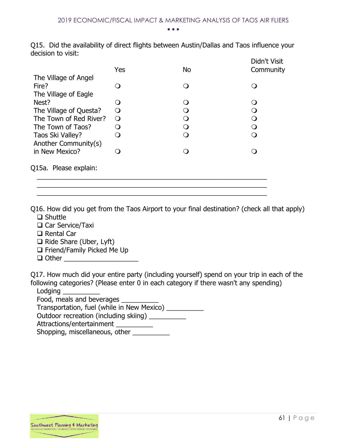Q15. Did the availability of direct flights between Austin/Dallas and Taos influence your decision to visit:

|                        | Yes              | <b>No</b>        | Didn't Visit<br>Community |
|------------------------|------------------|------------------|---------------------------|
| The Village of Angel   |                  |                  |                           |
| Fire?                  | $\Omega$         | ∩                |                           |
| The Village of Eagle   |                  |                  |                           |
| Nest?                  | $\left( \right)$ | ∩                |                           |
| The Village of Questa? | $\Omega$         | $\left( \right)$ |                           |
| The Town of Red River? | $\circ$          | $\Omega$         | ∩                         |
| The Town of Taos?      | $\Omega$         | ∩                |                           |
| Taos Ski Valley?       | ∩                | ∩                |                           |
| Another Community(s)   |                  |                  |                           |
| in New Mexico?         |                  |                  |                           |
| Q15a. Please explain:  |                  |                  |                           |
|                        |                  |                  |                           |

Q16. How did you get from the Taos Airport to your final destination? (check all that apply) ❑ Shuttle

 $\frac{1}{2}$  ,  $\frac{1}{2}$  ,  $\frac{1}{2}$  ,  $\frac{1}{2}$  ,  $\frac{1}{2}$  ,  $\frac{1}{2}$  ,  $\frac{1}{2}$  ,  $\frac{1}{2}$  ,  $\frac{1}{2}$  ,  $\frac{1}{2}$  ,  $\frac{1}{2}$  ,  $\frac{1}{2}$  ,  $\frac{1}{2}$  ,  $\frac{1}{2}$  ,  $\frac{1}{2}$  ,  $\frac{1}{2}$  ,  $\frac{1}{2}$  ,  $\frac{1}{2}$  ,  $\frac{1$ 

- ❑ Car Service/Taxi
- ❑ Rental Car
- ❑ Ride Share (Uber, Lyft)
- ❑ Friend/Family Picked Me Up
- $\Box$  Other  $\Box$

Q17. How much did your entire party (including yourself) spend on your trip in each of the following categories? (Please enter 0 in each category if there wasn't any spending)

Lodging

Food, meals and beverages

Transportation, fuel (while in New Mexico) \_\_\_\_\_\_\_\_\_\_

Outdoor recreation (including skiing) \_\_\_\_\_\_\_\_\_\_

Attractions/entertainment \_\_\_\_\_\_\_\_\_\_\_

Shopping, miscellaneous, other